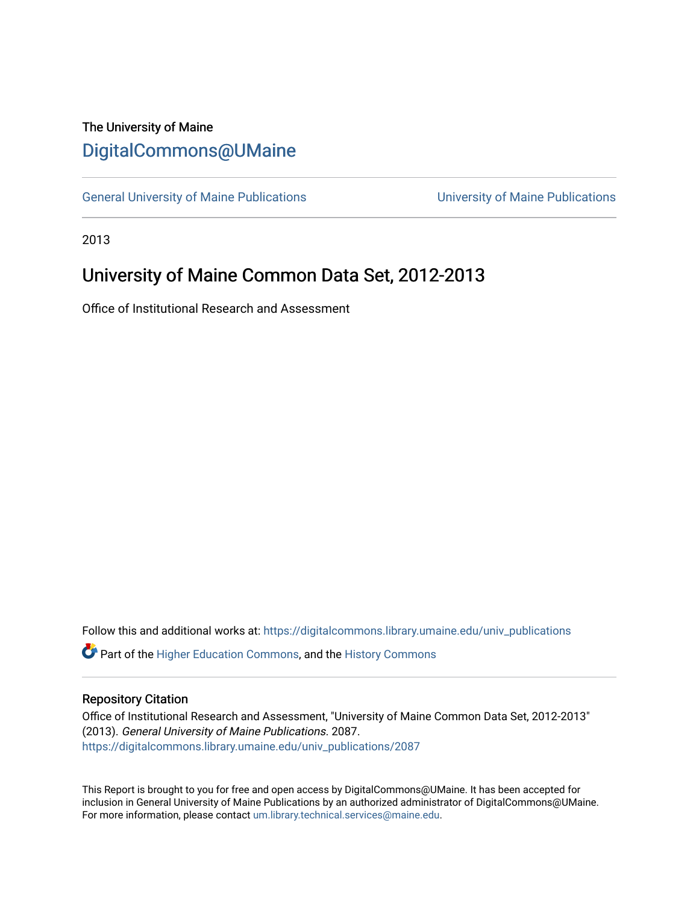# The University of Maine [DigitalCommons@UMaine](https://digitalcommons.library.umaine.edu/)

[General University of Maine Publications](https://digitalcommons.library.umaine.edu/univ_publications) [University of Maine Publications](https://digitalcommons.library.umaine.edu/umaine_publications) 

2013

# University of Maine Common Data Set, 2012-2013

Office of Institutional Research and Assessment

Follow this and additional works at: [https://digitalcommons.library.umaine.edu/univ\\_publications](https://digitalcommons.library.umaine.edu/univ_publications?utm_source=digitalcommons.library.umaine.edu%2Funiv_publications%2F2087&utm_medium=PDF&utm_campaign=PDFCoverPages) 

**C** Part of the [Higher Education Commons,](http://network.bepress.com/hgg/discipline/1245?utm_source=digitalcommons.library.umaine.edu%2Funiv_publications%2F2087&utm_medium=PDF&utm_campaign=PDFCoverPages) and the [History Commons](http://network.bepress.com/hgg/discipline/489?utm_source=digitalcommons.library.umaine.edu%2Funiv_publications%2F2087&utm_medium=PDF&utm_campaign=PDFCoverPages)

# Repository Citation

Office of Institutional Research and Assessment, "University of Maine Common Data Set, 2012-2013" (2013). General University of Maine Publications. 2087. [https://digitalcommons.library.umaine.edu/univ\\_publications/2087](https://digitalcommons.library.umaine.edu/univ_publications/2087?utm_source=digitalcommons.library.umaine.edu%2Funiv_publications%2F2087&utm_medium=PDF&utm_campaign=PDFCoverPages)

This Report is brought to you for free and open access by DigitalCommons@UMaine. It has been accepted for inclusion in General University of Maine Publications by an authorized administrator of DigitalCommons@UMaine. For more information, please contact [um.library.technical.services@maine.edu](mailto:um.library.technical.services@maine.edu).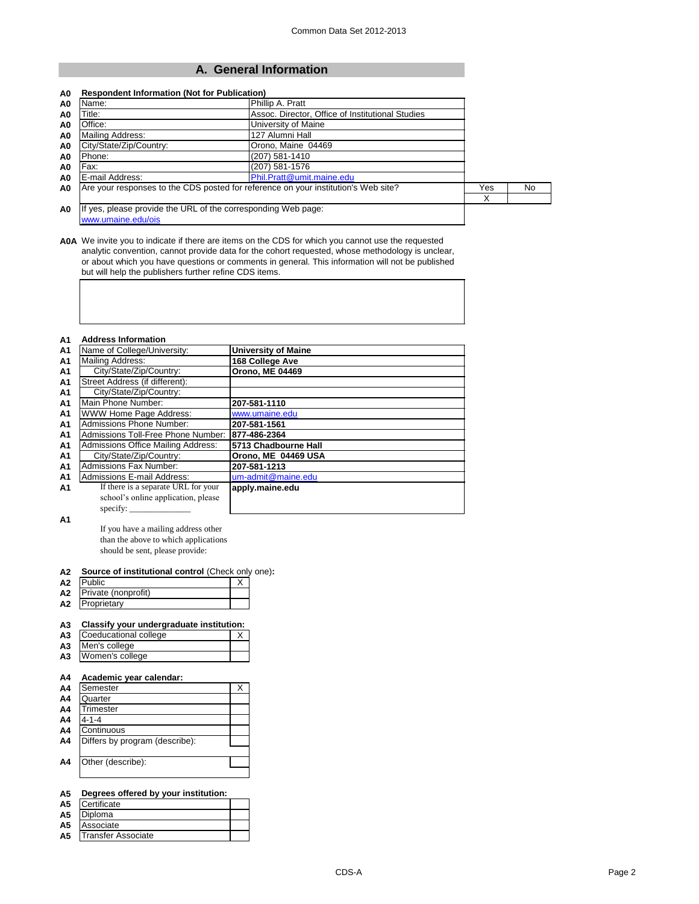# **A. General Information**

| A0             | Name:                                                                               | Phillip A. Pratt                                                                   |     |     |
|----------------|-------------------------------------------------------------------------------------|------------------------------------------------------------------------------------|-----|-----|
| A0             | Title:                                                                              |                                                                                    |     |     |
| A <sub>0</sub> | Office:                                                                             | Assoc. Director, Office of Institutional Studies<br>University of Maine            |     |     |
| A0             | Mailing Address:                                                                    | 127 Alumni Hall                                                                    |     |     |
| A0             | City/State/Zip/Country:                                                             |                                                                                    |     |     |
| A <sub>0</sub> | Phone:                                                                              |                                                                                    |     |     |
| A <sub>0</sub> | Fax:                                                                                | (207) 581-1576                                                                     |     |     |
| A0             | E-mail Address:                                                                     | Phil.Pratt@umit.maine.edu                                                          |     |     |
| A <sub>0</sub> |                                                                                     | Are your responses to the CDS posted for reference on your institution's Web site? | Yes | No. |
|                |                                                                                     |                                                                                    | X   |     |
| A0             | If yes, please provide the URL of the corresponding Web page:<br>www.umaine.edu/ois |                                                                                    |     |     |

**A0A** We invite you to indicate if there are items on the CDS for which you cannot use the requested analytic convention, cannot provide data for the cohort requested, whose methodology is unclear, or about which you have questions or comments in general. This information will not be published but will help the publishers further refine CDS items.

| <b>A1</b>      | <b>Address Information</b>                |                            |
|----------------|-------------------------------------------|----------------------------|
| A <sub>1</sub> | Name of College/University:               | <b>University of Maine</b> |
| <b>A1</b>      | Mailing Address:                          | 168 College Ave            |
| <b>A1</b>      | City/State/Zip/Country:                   | <b>Orono, ME 04469</b>     |
| A1             | Street Address (if different):            |                            |
| A <sub>1</sub> | City/State/Zip/Country:                   |                            |
| A <sub>1</sub> | Main Phone Number:                        | 207-581-1110               |
| A <sub>1</sub> | WWW Home Page Address:                    | www.umaine.edu             |
| A <sub>1</sub> | <b>Admissions Phone Number:</b>           | 207-581-1561               |
| <b>A1</b>      | Admissions Toll-Free Phone Number:        | 877-486-2364               |
| A <sub>1</sub> | <b>Admissions Office Mailing Address:</b> | 5713 Chadbourne Hall       |
| A <sub>1</sub> | City/State/Zip/Country:                   | Orono, ME 04469 USA        |
| A1             | <b>Admissions Fax Number:</b>             | 207-581-1213               |
| A1             | <b>Admissions E-mail Address:</b>         | um-admit@maine.edu         |
| <b>A1</b>      | If there is a separate URL for your       | apply.maine.edu            |
|                | school's online application, please       |                            |
|                | specify:                                  |                            |

**A1**

If you have a mailing address other than the above to which applications should be sent, please provide:

### **A2 Source of institutional control** (Check only one)**:**

| Α2 | <b>Public</b>       |  |
|----|---------------------|--|
| A2 | Private (nonprofit) |  |
| А2 | Proprietary         |  |

### **A3 Classify your undergraduate institution:**

| A3             | Coeducational college |  |
|----------------|-----------------------|--|
| A <sub>3</sub> | Men's college         |  |

| .  |                 |  |
|----|-----------------|--|
| A3 | Women's college |  |

### **A4 Academic year calendar:**

| A4             | Semester                       | X |
|----------------|--------------------------------|---|
| A <sub>4</sub> | Quarter                        |   |
| A <sub>4</sub> | Trimester                      |   |
| A <sub>4</sub> | $4 - 1 - 4$                    |   |
| A <sub>4</sub> | Continuous                     |   |
| A4             | Differs by program (describe): |   |
|                |                                |   |
| A4             | Other (describe):              |   |
|                |                                |   |

# **A5 Degrees offered by your institution:**

| A <sub>5</sub> | Certificate    |  |
|----------------|----------------|--|
| A5             | <b>Diploma</b> |  |
|                |                |  |

- **A5** Associate
- **A5** Transfer Associate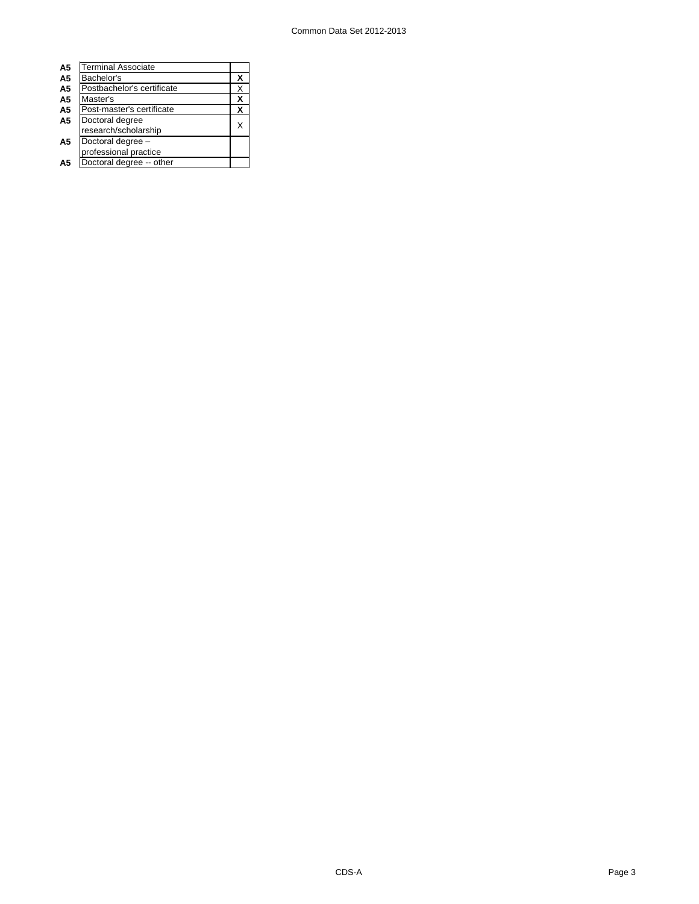| A5             | <b>Terminal Associate</b>  |   |
|----------------|----------------------------|---|
| A <sub>5</sub> | Bachelor's                 | х |
| A <sub>5</sub> | Postbachelor's certificate | X |
| A <sub>5</sub> | Master's                   | x |
| A <sub>5</sub> | Post-master's certificate  | x |
| A <sub>5</sub> | Doctoral degree            |   |
|                | research/scholarship       | х |
| A5             | Doctoral degree -          |   |
|                | professional practice      |   |
| Α5             | Doctoral degree -- other   |   |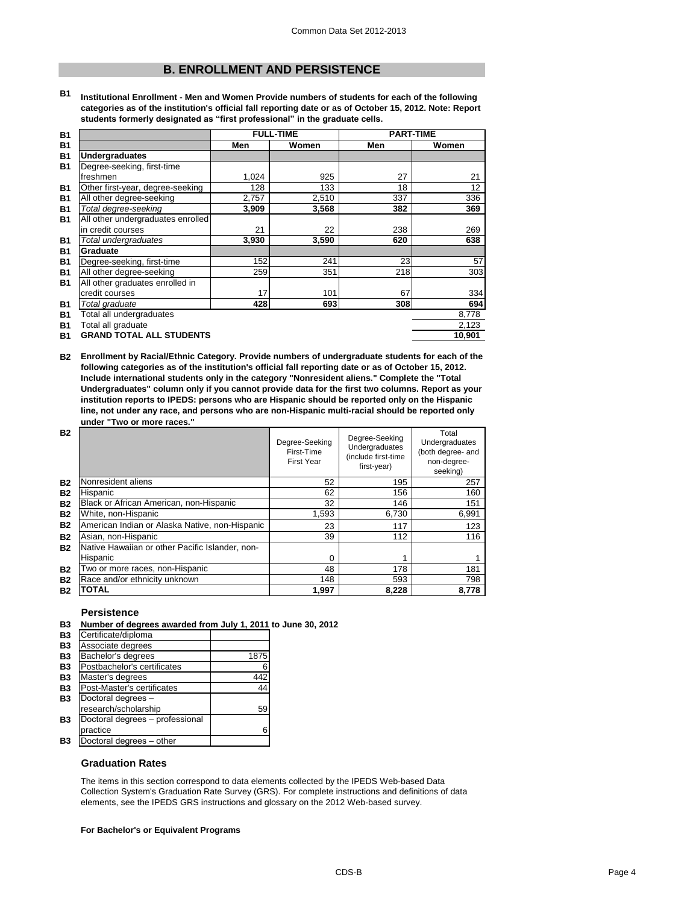# **B. ENROLLMENT AND PERSISTENCE**

**B1 Institutional Enrollment - Men and Women Provide numbers of students for each of the following categories as of the institution's official fall reporting date or as of October 15, 2012. Note: Report students formerly designated as "first professional" in the graduate cells.**

| <b>B1</b> |                                   | <b>FULL-TIME</b> |       | <b>PART-TIME</b> |        |  |
|-----------|-----------------------------------|------------------|-------|------------------|--------|--|
| <b>B1</b> |                                   | Men              | Women | Men              | Women  |  |
| <b>B1</b> | <b>Undergraduates</b>             |                  |       |                  |        |  |
| <b>B1</b> | Degree-seeking, first-time        |                  |       |                  |        |  |
|           | freshmen                          | 1,024            | 925   | 27               | 21     |  |
| <b>B1</b> | Other first-year, degree-seeking  | 128              | 133   | 18               | 12     |  |
| <b>B1</b> | All other degree-seeking          | 2,757            | 2,510 | 337              | 336    |  |
| <b>B1</b> | Total degree-seeking              | 3,909            | 3,568 | 382              | 369    |  |
| <b>B1</b> | All other undergraduates enrolled |                  |       |                  |        |  |
|           | in credit courses                 | 21               | 22    | 238              | 269    |  |
| <b>B1</b> | Total undergraduates              | 3,930            | 3,590 | 620              | 638    |  |
| <b>B1</b> | Graduate                          |                  |       |                  |        |  |
| <b>B1</b> | Degree-seeking, first-time        | 152              | 241   | 23               | 57     |  |
| <b>B1</b> | All other degree-seeking          | 259              | 351   | 218              | 303    |  |
| <b>B1</b> | All other graduates enrolled in   |                  |       |                  |        |  |
|           | credit courses                    | 17               | 101   | 67               | 334    |  |
| <b>B1</b> | Total graduate                    | 428              | 693   | 308              | 694    |  |
| <b>B1</b> | Total all undergraduates          |                  |       |                  | 8,778  |  |
| <b>B1</b> | Total all graduate                |                  |       |                  | 2,123  |  |
| <b>B1</b> | <b>GRAND TOTAL ALL STUDENTS</b>   |                  |       |                  | 10,901 |  |

**B2 Enrollment by Racial/Ethnic Category. Provide numbers of undergraduate students for each of the following categories as of the institution's official fall reporting date or as of October 15, 2012. Include international students only in the category "Nonresident aliens." Complete the "Total Undergraduates" column only if you cannot provide data for the first two columns. Report as your institution reports to IPEDS: persons who are Hispanic should be reported only on the Hispanic line, not under any race, and persons who are non-Hispanic multi-racial should be reported only under "Two or more races."** 

| <b>B2</b> |                                                 | Degree-Seeking<br>First-Time<br><b>First Year</b> | Degree-Seeking<br>Undergraduates<br>(include first-time<br>first-year) | Total<br>Undergraduates<br>(both degree- and<br>non-degree-<br>seeking) |
|-----------|-------------------------------------------------|---------------------------------------------------|------------------------------------------------------------------------|-------------------------------------------------------------------------|
| <b>B2</b> | Nonresident aliens                              | 52                                                | 195                                                                    | 257                                                                     |
| <b>B2</b> | Hispanic                                        | 62                                                | 156                                                                    | 160                                                                     |
| <b>B2</b> | Black or African American, non-Hispanic         | 32                                                | 146                                                                    | 151                                                                     |
| <b>B2</b> | White, non-Hispanic                             | 1,593                                             | 6,730                                                                  | 6,991                                                                   |
| <b>B2</b> | American Indian or Alaska Native, non-Hispanic  | 23                                                | 117                                                                    | 123                                                                     |
| <b>B2</b> | Asian, non-Hispanic                             | 39                                                | 112                                                                    | 116                                                                     |
| <b>B2</b> | Native Hawaiian or other Pacific Islander, non- |                                                   |                                                                        |                                                                         |
|           | Hispanic                                        | 0                                                 |                                                                        |                                                                         |
| <b>B2</b> | Two or more races, non-Hispanic                 | 48                                                | 178                                                                    | 181                                                                     |
| <b>B2</b> | Race and/or ethnicity unknown                   | 148                                               | 593                                                                    | 798                                                                     |
| <b>B2</b> | <b>TOTAL</b>                                    | 1.997                                             | 8,228                                                                  | 8,778                                                                   |

### **Persistence**

|  | B3 Number of degrees awarded from July 1, 2011 to June 30, 2012 |  |  |
|--|-----------------------------------------------------------------|--|--|
|--|-----------------------------------------------------------------|--|--|

| Certificate/diploma             |      |
|---------------------------------|------|
| Associate degrees               |      |
| Bachelor's degrees              | 1875 |
| Postbachelor's certificates     | 6    |
| Master's degrees                | 442  |
| Post-Master's certificates      | 44   |
| Doctoral degrees -              |      |
| research/scholarship            | 59   |
| Doctoral degrees - professional |      |
| practice                        | 6    |
| Doctoral degrees - other        |      |
|                                 |      |

### **Graduation Rates**

The items in this section correspond to data elements collected by the IPEDS Web-based Data Collection System's Graduation Rate Survey (GRS). For complete instructions and definitions of data elements, see the IPEDS GRS instructions and glossary on the 2012 Web-based survey.

### **For Bachelor's or Equivalent Programs**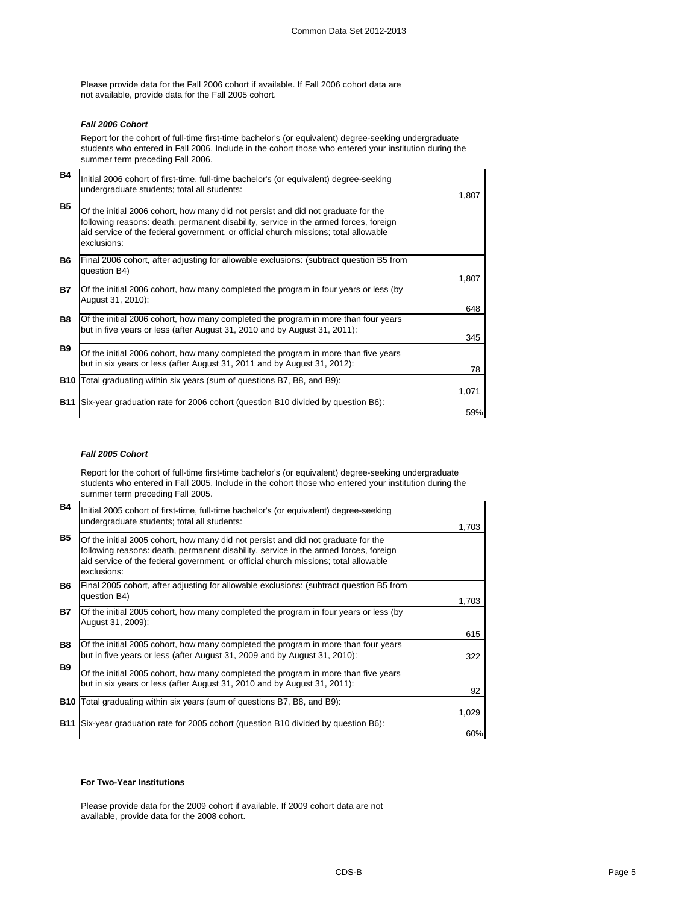Please provide data for the Fall 2006 cohort if available. If Fall 2006 cohort data are not available, provide data for the Fall 2005 cohort.

### *Fall 2006 Cohort*

Report for the cohort of full-time first-time bachelor's (or equivalent) degree-seeking undergraduate students who entered in Fall 2006. Include in the cohort those who entered your institution during the summer term preceding Fall 2006.

| <b>B4</b> | Initial 2006 cohort of first-time, full-time bachelor's (or equivalent) degree-seeking<br>undergraduate students; total all students:                                                                                                                                           | 1.807 |
|-----------|---------------------------------------------------------------------------------------------------------------------------------------------------------------------------------------------------------------------------------------------------------------------------------|-------|
| <b>B5</b> | Of the initial 2006 cohort, how many did not persist and did not graduate for the<br>following reasons: death, permanent disability, service in the armed forces, foreign<br>aid service of the federal government, or official church missions; total allowable<br>exclusions: |       |
| <b>B6</b> | Final 2006 cohort, after adjusting for allowable exclusions: (subtract question B5 from<br>question B4)                                                                                                                                                                         | 1,807 |
| <b>B7</b> | Of the initial 2006 cohort, how many completed the program in four years or less (by<br>August 31, 2010):                                                                                                                                                                       | 648   |
| <b>B8</b> | Of the initial 2006 cohort, how many completed the program in more than four years<br>but in five years or less (after August 31, 2010 and by August 31, 2011):                                                                                                                 | 345   |
| <b>B9</b> | Of the initial 2006 cohort, how many completed the program in more than five years<br>but in six years or less (after August 31, 2011 and by August 31, 2012):                                                                                                                  | 78    |
|           | <b>B10</b> Total graduating within six years (sum of questions B7, B8, and B9):                                                                                                                                                                                                 | 1,071 |
| B11       | Six-year graduation rate for 2006 cohort (question B10 divided by question B6):                                                                                                                                                                                                 | 59%   |

### *Fall 2005 Cohort*

Report for the cohort of full-time first-time bachelor's (or equivalent) degree-seeking undergraduate students who entered in Fall 2005. Include in the cohort those who entered your institution during the summer term preceding Fall 2005.

| <b>B4</b>  | Initial 2005 cohort of first-time, full-time bachelor's (or equivalent) degree-seeking<br>undergraduate students; total all students:                                                                                                                                           | 1,703 |
|------------|---------------------------------------------------------------------------------------------------------------------------------------------------------------------------------------------------------------------------------------------------------------------------------|-------|
| <b>B5</b>  | Of the initial 2005 cohort, how many did not persist and did not graduate for the<br>following reasons: death, permanent disability, service in the armed forces, foreign<br>aid service of the federal government, or official church missions; total allowable<br>exclusions: |       |
| <b>B6</b>  | Final 2005 cohort, after adjusting for allowable exclusions: (subtract question B5 from<br>question B4)                                                                                                                                                                         | 1,703 |
| B7         | Of the initial 2005 cohort, how many completed the program in four years or less (by<br>August 31, 2009):                                                                                                                                                                       | 615   |
| <b>B8</b>  | Of the initial 2005 cohort, how many completed the program in more than four years<br>but in five years or less (after August 31, 2009 and by August 31, 2010):                                                                                                                 | 322   |
| <b>B9</b>  | Of the initial 2005 cohort, how many completed the program in more than five years<br>but in six years or less (after August 31, 2010 and by August 31, 2011):                                                                                                                  | 92    |
| <b>B10</b> | Total graduating within six years (sum of questions B7, B8, and B9):                                                                                                                                                                                                            | 1,029 |
| <b>B11</b> | Six-year graduation rate for 2005 cohort (question B10 divided by question B6):                                                                                                                                                                                                 | 60%   |

### **For Two-Year Institutions**

Please provide data for the 2009 cohort if available. If 2009 cohort data are not available, provide data for the 2008 cohort.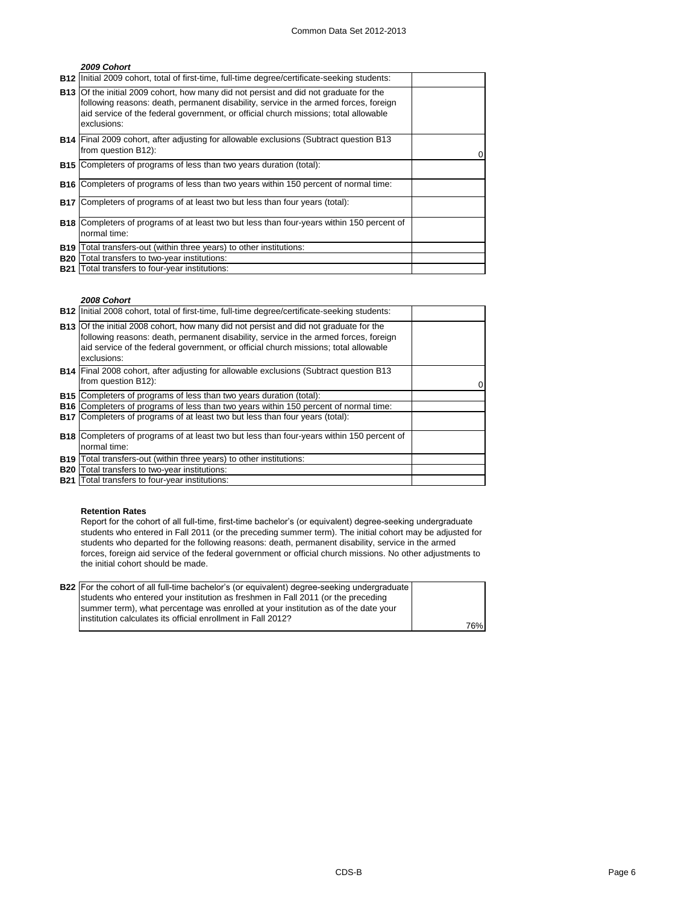### *2009 Cohort*

|            | <b>B12</b> Initial 2009 cohort, total of first-time, full-time degree/certificate-seeking students:                                                                                                                                                                                        |  |
|------------|--------------------------------------------------------------------------------------------------------------------------------------------------------------------------------------------------------------------------------------------------------------------------------------------|--|
|            | <b>B13</b> Of the initial 2009 cohort, how many did not persist and did not graduate for the<br>following reasons: death, permanent disability, service in the armed forces, foreign<br>aid service of the federal government, or official church missions; total allowable<br>exclusions: |  |
|            | <b>B14</b> Final 2009 cohort, after adjusting for allowable exclusions (Subtract question B13<br>from question B12):                                                                                                                                                                       |  |
|            | <b>B15</b> Completers of programs of less than two years duration (total):                                                                                                                                                                                                                 |  |
|            | <b>B16</b> Completers of programs of less than two years within 150 percent of normal time:                                                                                                                                                                                                |  |
|            | <b>B17</b> Completers of programs of at least two but less than four years (total):                                                                                                                                                                                                        |  |
|            | <b>B18</b> Completers of programs of at least two but less than four-years within 150 percent of<br>normal time:                                                                                                                                                                           |  |
| <b>B19</b> | Total transfers-out (within three years) to other institutions:                                                                                                                                                                                                                            |  |
| <b>B20</b> | Total transfers to two-year institutions:                                                                                                                                                                                                                                                  |  |
|            | <b>B21</b> Total transfers to four-year institutions:                                                                                                                                                                                                                                      |  |

### *2008 Cohort*

|            | <b>B12</b> Initial 2008 cohort, total of first-time, full-time degree/certificate-seeking students:                                                                                                                                                                                        |  |
|------------|--------------------------------------------------------------------------------------------------------------------------------------------------------------------------------------------------------------------------------------------------------------------------------------------|--|
|            | <b>B13</b> Of the initial 2008 cohort, how many did not persist and did not graduate for the<br>following reasons: death, permanent disability, service in the armed forces, foreign<br>aid service of the federal government, or official church missions; total allowable<br>exclusions: |  |
|            | <b>B14</b> Final 2008 cohort, after adjusting for allowable exclusions (Subtract question B13<br>from question B12):                                                                                                                                                                       |  |
|            | <b>B15</b> Completers of programs of less than two years duration (total):                                                                                                                                                                                                                 |  |
|            | <b>B16</b> Completers of programs of less than two years within 150 percent of normal time:                                                                                                                                                                                                |  |
|            | B17 Completers of programs of at least two but less than four years (total):                                                                                                                                                                                                               |  |
|            | <b>B18</b> Completers of programs of at least two but less than four-years within 150 percent of<br>normal time:                                                                                                                                                                           |  |
| <b>B19</b> | Total transfers-out (within three years) to other institutions:                                                                                                                                                                                                                            |  |
|            | <b>B20</b> Total transfers to two-year institutions:                                                                                                                                                                                                                                       |  |
|            | <b>B21</b> Total transfers to four-year institutions:                                                                                                                                                                                                                                      |  |

### **Retention Rates**

Report for the cohort of all full-time, first-time bachelor's (or equivalent) degree-seeking undergraduate students who entered in Fall 2011 (or the preceding summer term). The initial cohort may be adjusted for students who departed for the following reasons: death, permanent disability, service in the armed forces, foreign aid service of the federal government or official church missions. No other adjustments to the initial cohort should be made.

| <b>B22</b> For the cohort of all full-time bachelor's (or equivalent) degree-seeking undergraduate |     |
|----------------------------------------------------------------------------------------------------|-----|
| students who entered your institution as freshmen in Fall 2011 (or the preceding                   |     |
| summer term), what percentage was enrolled at your institution as of the date your                 |     |
| linstitution calculates its official enrollment in Fall 2012?                                      |     |
|                                                                                                    | 76% |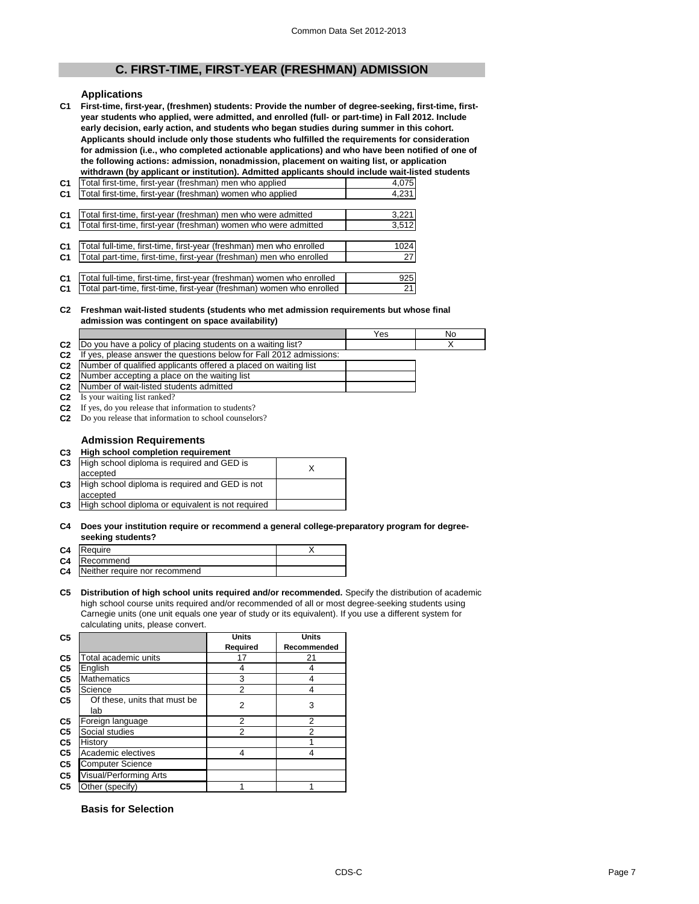# **C. FIRST-TIME, FIRST-YEAR (FRESHMAN) ADMISSION**

### **Applications**

**C1 First-time, first-year, (freshmen) students: Provide the number of degree-seeking, first-time, firstyear students who applied, were admitted, and enrolled (full- or part-time) in Fall 2012. Include early decision, early action, and students who began studies during summer in this cohort. Applicants should include only those students who fulfilled the requirements for consideration for admission (i.e., who completed actionable applications) and who have been notified of one of the following actions: admission, nonadmission, placement on waiting list, or application**  withdrawn (by applicant or institution). Admitted applicants should include wait-listed students

| C <sub>1</sub> | Total first-time, first-year (freshman) men who applied               | 4,075 |
|----------------|-----------------------------------------------------------------------|-------|
| C <sub>1</sub> | Total first-time, first-year (freshman) women who applied             | 4,231 |
|                |                                                                       |       |
| C <sub>1</sub> | Total first-time, first-year (freshman) men who were admitted         | 3,221 |
| C <sub>1</sub> | Total first-time, first-year (freshman) women who were admitted       | 3,512 |
|                |                                                                       |       |
| C <sub>1</sub> | Total full-time, first-time, first-year (freshman) men who enrolled   | 1024  |
| C <sub>1</sub> | Total part-time, first-time, first-year (freshman) men who enrolled   | 27    |
|                |                                                                       |       |
| C <sub>1</sub> | Total full-time, first-time, first-year (freshman) women who enrolled | 925   |
|                |                                                                       |       |

**C1** Total part-time, first-time, first-year (freshman) women who enrolled | 21

### **C2 Freshman wait-listed students (students who met admission requirements but whose final admission was contingent on space availability)**

|                |                                                                     | Yes | No |
|----------------|---------------------------------------------------------------------|-----|----|
| C <sub>2</sub> | Do you have a policy of placing students on a waiting list?         |     |    |
| C <sub>2</sub> | If yes, please answer the questions below for Fall 2012 admissions: |     |    |
| C <sub>2</sub> | Number of qualified applicants offered a placed on waiting list     |     |    |
| C <sub>2</sub> | Number accepting a place on the waiting list                        |     |    |
| C <sub>2</sub> | Number of wait-listed students admitted                             |     |    |

**C2** Is your waiting list ranked?

**C2** If yes, do you release that information to students?

**C2** Do you release that information to school counselors?

### **Admission Requirements**

| C3 High school completion requirement         |  |
|-----------------------------------------------|--|
| C3 High school diploma is required and GED is |  |

| C <sub>3</sub> | High school diploma is required and GED is<br>accepted |  |
|----------------|--------------------------------------------------------|--|
| C <sub>3</sub> | High school diploma is required and GED is not         |  |
|                | accepted                                               |  |
| C <sub>3</sub> | High school diploma or equivalent is not required      |  |
|                |                                                        |  |

### **C4 Does your institution require or recommend a general college-preparatory program for degreeseeking students?**

| C <sub>4</sub> | Require                       |  |
|----------------|-------------------------------|--|
|                | C4 Recommend                  |  |
| C4             | Neither require nor recommend |  |

### **C5 Distribution of high school units required and/or recommended.** Specify the distribution of academic high school course units required and/or recommended of all or most degree-seeking students using Carnegie units (one unit equals one year of study or its equivalent). If you use a different system for calculating units, please convert.

| C <sub>5</sub> |                                     | <b>Units</b> | <b>Units</b> |
|----------------|-------------------------------------|--------------|--------------|
|                |                                     | Required     | Recommended  |
| C5             | Total academic units                | 17           | 21           |
| C5             | English                             | 4            | 4            |
| C5             | <b>Mathematics</b>                  | 3            | 4            |
| C5             | Science                             | 2            | 4            |
| C5             | Of these, units that must be<br>lab | 2            | 3            |
| C <sub>5</sub> | Foreign language                    | 2            | 2            |
| C5             | Social studies                      | 2            | 2            |
| C5             | History                             |              |              |
| C5             | Academic electives                  | 4            | 4            |
| C5             | Computer Science                    |              |              |
| C5             | Visual/Performing Arts              |              |              |
| C <sub>5</sub> | Other (specify)                     |              |              |

## **Basis for Selection**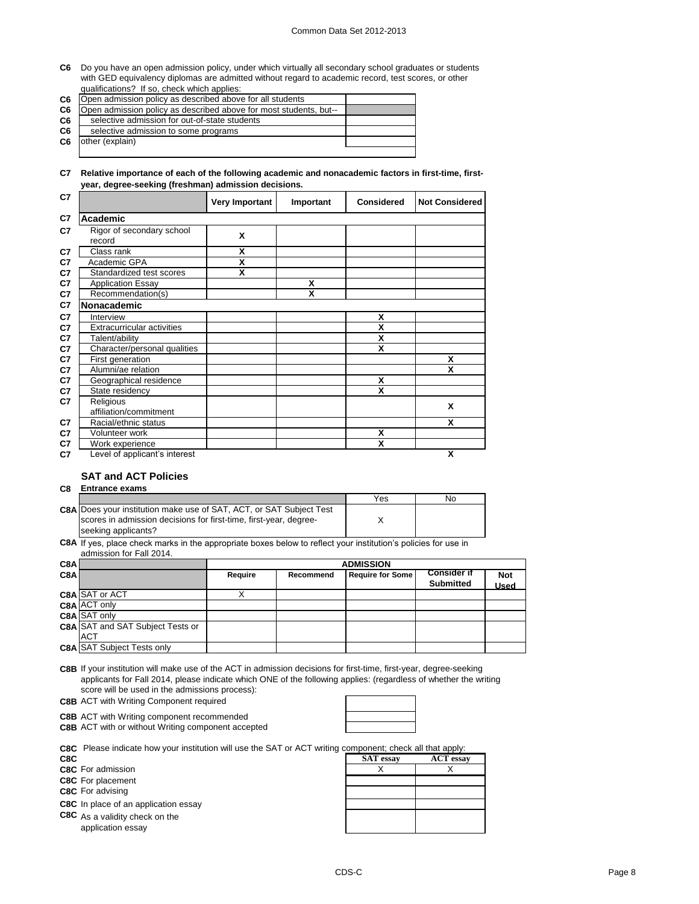### Common Data Set 2012-2013

**C6** Do you have an open admission policy, under which virtually all secondary school graduates or students with GED equivalency diplomas are admitted without regard to academic record, test scores, or other qualifications? If so, check which applies:

|  | qualifications: in so, oncent written application            |
|--|--------------------------------------------------------------|
|  | C6 Open admission policy as described above for all students |

| C6             | Open admission policy as described above for all students         |  |
|----------------|-------------------------------------------------------------------|--|
| C6             | Open admission policy as described above for most students, but-- |  |
| C <sub>6</sub> | selective admission for out-of-state students                     |  |
| C6             | selective admission to some programs                              |  |
| C6             | other (explain)                                                   |  |
|                |                                                                   |  |

### **C7 Relative importance of each of the following academic and nonacademic factors in first-time, firstyear, degree-seeking (freshman) admission decisions.**

| C7 |                                     | Very Important | Important | <b>Considered</b> | <b>Not Considered</b> |
|----|-------------------------------------|----------------|-----------|-------------------|-----------------------|
| C7 | Academic                            |                |           |                   |                       |
| C7 | Rigor of secondary school<br>record | X              |           |                   |                       |
| C7 | Class rank                          | X              |           |                   |                       |
| C7 | Academic GPA                        | X              |           |                   |                       |
| C7 | Standardized test scores            | X              |           |                   |                       |
| C7 | <b>Application Essay</b>            |                | x         |                   |                       |
| C7 | Recommendation(s)                   |                | X         |                   |                       |
| C7 | <b>Nonacademic</b>                  |                |           |                   |                       |
| C7 | Interview                           |                |           | X                 |                       |
| C7 | <b>Extracurricular activities</b>   |                |           | X                 |                       |
| C7 | Talent/ability                      |                |           | X                 |                       |
| C7 | Character/personal qualities        |                |           | X                 |                       |
| C7 | First generation                    |                |           |                   | X                     |
| C7 | Alumni/ae relation                  |                |           |                   | X                     |
| C7 | Geographical residence              |                |           | X                 |                       |
| C7 | State residency                     |                |           | X                 |                       |
| C7 | Religious                           |                |           |                   | X                     |
|    | affiliation/commitment              |                |           |                   |                       |
| C7 | Racial/ethnic status                |                |           |                   | x                     |
| C7 | Volunteer work                      |                |           | X                 |                       |
| C7 | Work experience                     |                |           | X                 |                       |
| C7 | Level of applicant's interest       |                |           |                   | X                     |

# **SAT and ACT Policies**

### **C8 Entrance exams**

|                                                                            | Yes | No. |
|----------------------------------------------------------------------------|-----|-----|
| <b>C8A Does your institution make use of SAT, ACT, or SAT Subject Test</b> |     |     |
| scores in admission decisions for first-time, first-year, degree-          |     |     |
| seeking applicants?                                                        |     |     |

**C8A** If yes, place check marks in the appropriate boxes below to reflect your institution's policies for use in admission for Fall 2014.

| C8A |                                         | <b>ADMISSION</b> |           |                         |                                        |                    |
|-----|-----------------------------------------|------------------|-----------|-------------------------|----------------------------------------|--------------------|
| C8A |                                         | Require          | Recommend | <b>Require for Some</b> | <b>Consider if</b><br><b>Submitted</b> | <b>Not</b><br>Used |
|     | C8A SAT or ACT                          |                  |           |                         |                                        |                    |
|     | <b>C8A ACT only</b>                     |                  |           |                         |                                        |                    |
|     | C8A SAT only                            |                  |           |                         |                                        |                    |
|     | <b>C8A SAT and SAT Subject Tests or</b> |                  |           |                         |                                        |                    |
|     | <b>ACT</b>                              |                  |           |                         |                                        |                    |
|     | <b>C8A SAT Subject Tests only</b>       |                  |           |                         |                                        |                    |

**C8B** If your institution will make use of the ACT in admission decisions for first-time, first-year, degree-seeking applicants for Fall 2014, please indicate which ONE of the following applies: (regardless of whether the writing score will be used in the admissions process):

**C8B** ACT with Writing Component required

**C8B** ACT with Writing component recommended

**C8B** ACT with or without Writing component accepted



**C8C** Please indicate how your institution will use the SAT or ACT writing component; check all that apply:

**C8C** As a validity check on the application essay

| <b>COC</b> I lease indicate how your institution will use the OAT OFAOT whill be component, check all that apply. |                  |                  |
|-------------------------------------------------------------------------------------------------------------------|------------------|------------------|
| C8C.                                                                                                              | <b>SAT</b> essay | <b>ACT</b> essay |
| C8C For admission                                                                                                 |                  |                  |
| C8C For placement                                                                                                 |                  |                  |
| C8C For advising                                                                                                  |                  |                  |
| C8C In place of an application essay                                                                              |                  |                  |
| C8C As a validity check on the                                                                                    |                  |                  |
| application essay                                                                                                 |                  |                  |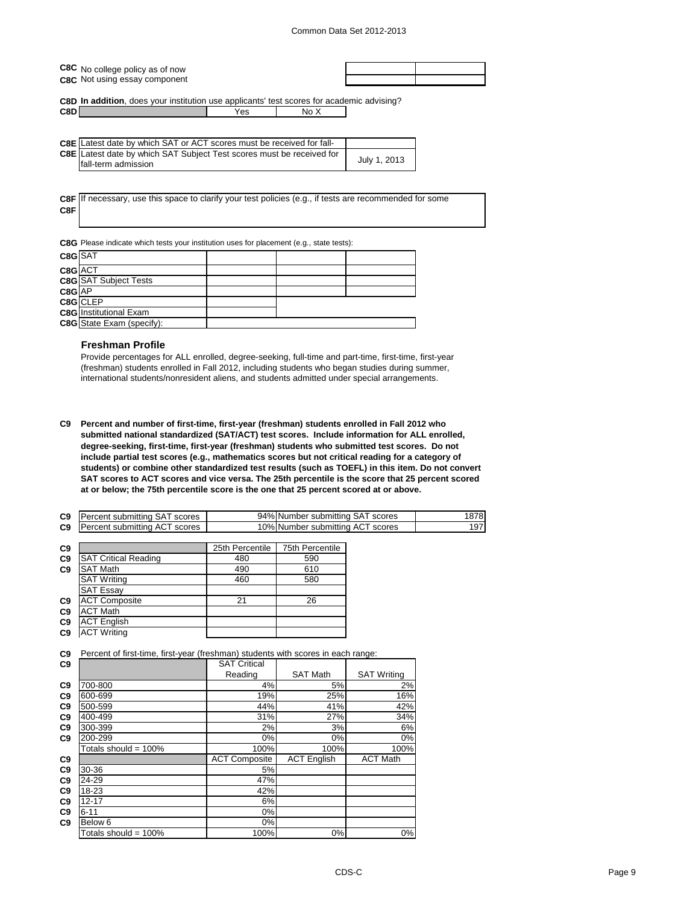| C8C No college policy as of now |
|---------------------------------|
| C8C Not using essay component   |

**C8D In addition**, does your institution use applicants' test scores for academic advising? **C8D** No X

| <b>C8E</b> Latest date by which SAT or ACT scores must be received for fall- |              |
|------------------------------------------------------------------------------|--------------|
| C8E Latest date by which SAT Subject Test scores must be received for        |              |
| Ifall-term admission                                                         | July 1, 2013 |

**C8F** If necessary, use this space to clarify your test policies (e.g., if tests are recommended for some **C8F**

**C8G** Please indicate which tests your institution uses for placement (e.g., state tests):

| C8G SAT |                                  |  |  |
|---------|----------------------------------|--|--|
| C8G ACT |                                  |  |  |
|         | <b>C8G</b> SAT Subject Tests     |  |  |
| C8G AP  |                                  |  |  |
|         | C8G CLEP                         |  |  |
|         | <b>C8G</b> Institutional Exam    |  |  |
|         | <b>C8G</b> State Exam (specify): |  |  |

### **Freshman Profile**

Provide percentages for ALL enrolled, degree-seeking, full-time and part-time, first-time, first-year (freshman) students enrolled in Fall 2012, including students who began studies during summer, international students/nonresident aliens, and students admitted under special arrangements.

**C9 Percent and number of first-time, first-year (freshman) students enrolled in Fall 2012 who submitted national standardized (SAT/ACT) test scores. Include information for ALL enrolled, degree-seeking, first-time, first-year (freshman) students who submitted test scores. Do not include partial test scores (e.g., mathematics scores but not critical reading for a category of students) or combine other standardized test results (such as TOEFL) in this item. Do not convert SAT scores to ACT scores and vice versa. The 25th percentile is the score that 25 percent scored at or below; the 75th percentile score is the one that 25 percent scored at or above.**

| <b>C9</b> Percent submitting SAT scores | 94% Number submitting SAT scores | 1878 |
|-----------------------------------------|----------------------------------|------|
| <b>C9</b> Percent submitting ACT scores | 10% Number submitting ACT scores | 197  |
|                                         |                                  |      |

| C <sub>9</sub> |                             | 25th Percentile | <b>75th Percentile</b> |
|----------------|-----------------------------|-----------------|------------------------|
| C <sub>9</sub> | <b>SAT Critical Reading</b> | 480             | 590                    |
| C <sub>9</sub> | <b>SAT Math</b>             | 490             | 610                    |
|                | <b>SAT Writing</b>          | 460             | 580                    |
|                | <b>SAT Essay</b>            |                 |                        |
| C <sub>9</sub> | <b>ACT Composite</b>        | 21              | 26                     |
| C <sub>9</sub> | <b>ACT Math</b>             |                 |                        |
| C <sub>9</sub> | <b>ACT English</b>          |                 |                        |
| C <sub>9</sub> | <b>ACT Writing</b>          |                 |                        |
|                |                             |                 |                        |

**C9** Percent of first-time, first-year (freshman) students with scores in each range:

| C <sub>9</sub> |                         | <b>SAT Critical</b>  |                    |                    |
|----------------|-------------------------|----------------------|--------------------|--------------------|
|                |                         | Reading              | <b>SAT Math</b>    | <b>SAT Writing</b> |
| C <sub>9</sub> | 700-800                 | 4%                   | 5%                 | 2%                 |
| C <sub>9</sub> | 600-699                 | 19%                  | 25%                | 16%                |
| C <sub>9</sub> | 500-599                 | 44%                  | 41%                | 42%                |
| C <sub>9</sub> | 400-499                 | 31%                  | 27%                | 34%                |
| C <sub>9</sub> | 300-399                 | 2%                   | 3%                 | 6%                 |
| C <sub>9</sub> | 200-299                 | 0%                   | 0%                 | 0%                 |
|                | Totals should = 100%    | 100%                 | 100%               | 100%               |
| C <sub>9</sub> |                         | <b>ACT Composite</b> | <b>ACT English</b> | <b>ACT Math</b>    |
| C <sub>9</sub> | 30-36                   | 5%                   |                    |                    |
| C <sub>9</sub> | 24-29                   | 47%                  |                    |                    |
| C <sub>9</sub> | 18-23                   | 42%                  |                    |                    |
| C <sub>9</sub> | $12 - 17$               | 6%                   |                    |                    |
| C <sub>9</sub> | $6 - 11$                | 0%                   |                    |                    |
| C <sub>9</sub> | Below 6                 | 0%                   |                    |                    |
|                | Totals should = $100\%$ | 100%                 | 0%                 | 0%                 |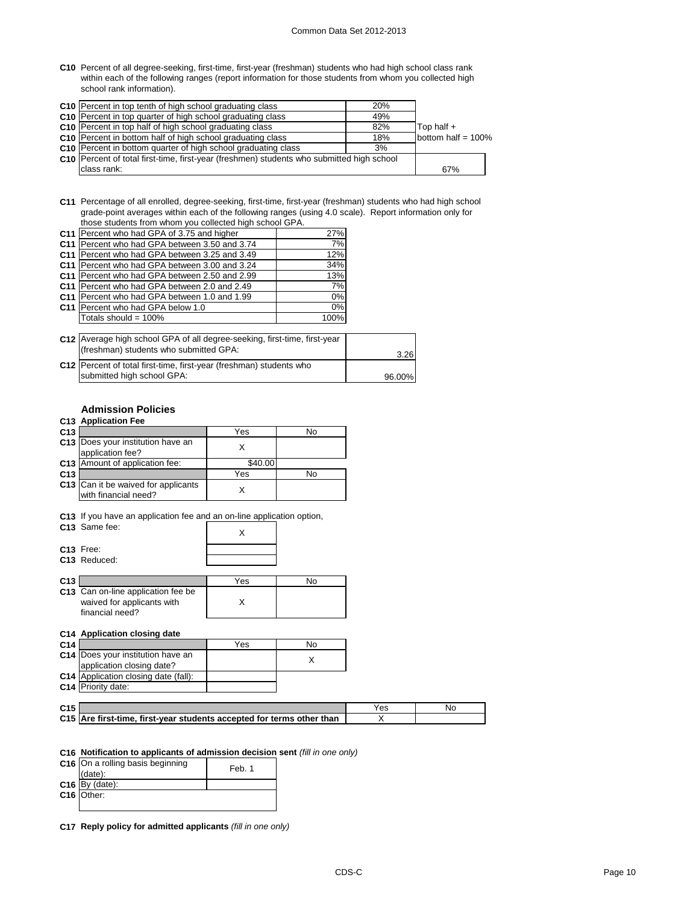### Common Data Set 2012-2013

**C10** Percent of all degree-seeking, first-time, first-year (freshman) students who had high school class rank within each of the following ranges (report information for those students from whom you collected high school rank information).

| C10 Percent in top tenth of high school graduating class                                    | 20% |                       |
|---------------------------------------------------------------------------------------------|-----|-----------------------|
| <b>C10</b> Percent in top quarter of high school graduating class                           | 49% |                       |
| C10 Percent in top half of high school graduating class                                     | 82% | Top half +            |
| C <sub>10</sub> Percent in bottom half of high school graduating class                      | 18% | bottom half = $100\%$ |
| <b>C10</b> Percent in bottom quarter of high school graduating class                        | 3%  |                       |
| C10   Percent of total first-time, first-year (freshmen) students who submitted high school |     |                       |
| class rank:                                                                                 |     | 67%                   |

**C11** Percentage of all enrolled, degree-seeking, first-time, first-year (freshman) students who had high school grade-point averages within each of the following ranges (using 4.0 scale). Report information only for those students from whom you collected high school GPA.

| C11 Percent who had GPA of 3.75 and higher    | 27%  |
|-----------------------------------------------|------|
| C11 Percent who had GPA between 3.50 and 3.74 | 7%   |
| C11 Percent who had GPA between 3.25 and 3.49 | 12%  |
| C11 Percent who had GPA between 3.00 and 3.24 | 34%  |
| C11 Percent who had GPA between 2.50 and 2.99 | 13%  |
| C11 Percent who had GPA between 2.0 and 2.49  | 7%   |
| C11 Percent who had GPA between 1.0 and 1.99  | 0%   |
| C11 Percent who had GPA below 1.0             | 0%   |
| Totals should = 100%                          | 100% |

| C12 Average high school GPA of all degree-seeking, first-time, first-year<br>(freshman) students who submitted GPA: | 3.26   |
|---------------------------------------------------------------------------------------------------------------------|--------|
| C12 Percent of total first-time, first-year (freshman) students who<br>submitted high school GPA:                   | 96.00% |

# **Admission Policies**

### **C13 Application Fee**

| C <sub>13</sub> |                                                                                                                             | Yes     | No |
|-----------------|-----------------------------------------------------------------------------------------------------------------------------|---------|----|
|                 | C13 Does your institution have an<br>application fee?                                                                       | X       |    |
| C <sub>13</sub> | Amount of application fee:                                                                                                  | \$40.00 |    |
| C <sub>13</sub> |                                                                                                                             | Yes     | No |
|                 | <b>C13</b> Can it be waived for applicants<br>with financial need?                                                          | X       |    |
|                 | C13 If you have an application fee and an on-line application option,<br>C <sub>13</sub> Same fee:<br>C <sub>13</sub> Free: | X       |    |
|                 | C <sub>13</sub> Reduced:                                                                                                    |         |    |
| C <sub>13</sub> |                                                                                                                             | Yes     | No |
|                 | C13 Can on-line application fee be<br>waived for annlicante with                                                            | x       |    |

|                 | waived for applicants with<br>financial need?                  |     |    |
|-----------------|----------------------------------------------------------------|-----|----|
|                 | C14 Application closing date                                   |     |    |
| C <sub>14</sub> |                                                                | Yes | No |
|                 | C14 Does your institution have an<br>application closing date? |     |    |
|                 | C <sub>14</sub> Application closing data (fall):               |     |    |

**Appli C14** Priority date:

| C <sub>15</sub> |                                                                       |  |
|-----------------|-----------------------------------------------------------------------|--|
|                 | C15 Are first-time, first-year students accepted for terms other than |  |

### **C16 Notification to applicants of admission decision sent** *(fill in one only)*

| C16 On a rolling basis beginning<br>(date): | Feb. 1 |
|---------------------------------------------|--------|
| $C16$ By (date):                            |        |
| C <sub>16</sub> Other:                      |        |
|                                             |        |

**C17 Reply policy for admitted applicants** *(fill in one only)*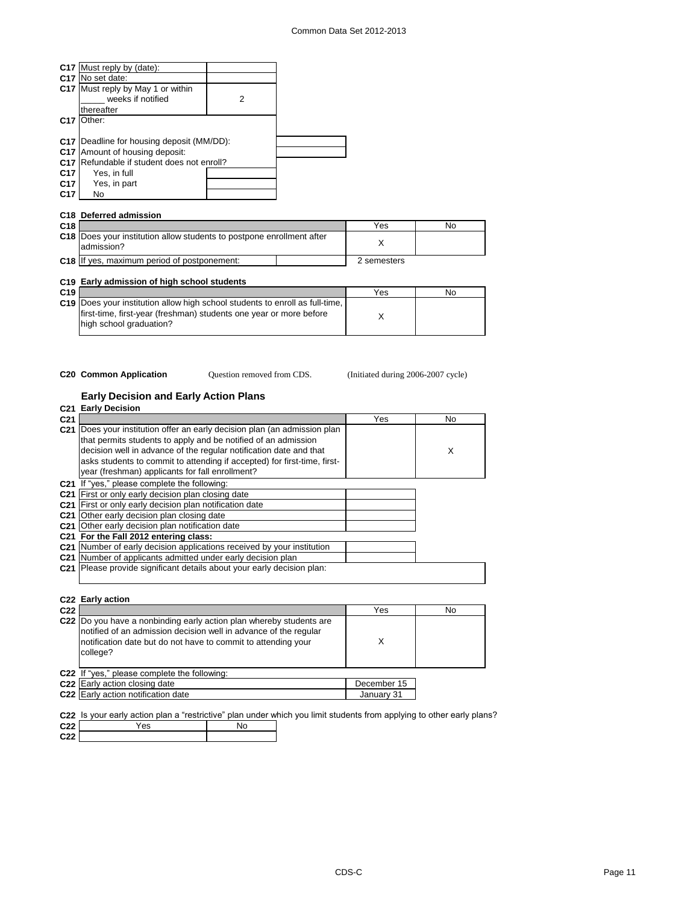|                 | C17 Must reply by (date):              |   |  |
|-----------------|----------------------------------------|---|--|
|                 | C17 No set date:                       |   |  |
|                 | C17 Must reply by May 1 or within      |   |  |
|                 | weeks if notified                      | 2 |  |
|                 | thereafter                             |   |  |
| C <sub>17</sub> | Other:                                 |   |  |
|                 |                                        |   |  |
| C <sub>17</sub> | Deadline for housing deposit (MM/DD):  |   |  |
| C <sub>17</sub> | Amount of housing deposit:             |   |  |
| C <sub>17</sub> | Refundable if student does not enroll? |   |  |
| C <sub>17</sub> | Yes, in full                           |   |  |
| C <sub>17</sub> | Yes, in part                           |   |  |
| C17             | No                                     |   |  |

|                 | C18 Deferred admission                                                              |             |    |
|-----------------|-------------------------------------------------------------------------------------|-------------|----|
| C <sub>18</sub> |                                                                                     | Yes         | No |
|                 | C18 Does your institution allow students to postpone enrollment after<br>admission? |             |    |
|                 | C18 If yes, maximum period of postponement:                                         | 2 semesters |    |

|                 | C19 Early admission of high school students                                                                                                                                          |     |    |
|-----------------|--------------------------------------------------------------------------------------------------------------------------------------------------------------------------------------|-----|----|
| C <sub>19</sub> |                                                                                                                                                                                      | Yes | No |
|                 | <b>C19</b> Does your institution allow high school students to enroll as full-time.<br>first-time, first-year (freshman) students one year or more before<br>high school graduation? |     |    |

Question removed from CDS.

**C20 Common Application Question removed from CDS.** (Initiated during 2006-2007 cycle)

### **Early Decision and Early Action Plans**

|                 | C21 Early Decision                                                                                                                                                                                                                                                                                                                           |     |     |
|-----------------|----------------------------------------------------------------------------------------------------------------------------------------------------------------------------------------------------------------------------------------------------------------------------------------------------------------------------------------------|-----|-----|
| C <sub>21</sub> |                                                                                                                                                                                                                                                                                                                                              | Yes | No. |
| C <sub>21</sub> | Does your institution offer an early decision plan (an admission plan<br>that permits students to apply and be notified of an admission<br>decision well in advance of the regular notification date and that<br>asks students to commit to attending if accepted) for first-time, first-<br>year (freshman) applicants for fall enrollment? |     | X   |
|                 | <b>C21</b> If "yes," please complete the following:                                                                                                                                                                                                                                                                                          |     |     |
|                 | C21 First or only early decision plan closing date                                                                                                                                                                                                                                                                                           |     |     |
| C <sub>21</sub> | First or only early decision plan notification date                                                                                                                                                                                                                                                                                          |     |     |
| C <sub>21</sub> | Other early decision plan closing date                                                                                                                                                                                                                                                                                                       |     |     |
|                 | C <sub>21</sub> Other early decision plan notification date                                                                                                                                                                                                                                                                                  |     |     |
|                 | C21 For the Fall 2012 entering class:                                                                                                                                                                                                                                                                                                        |     |     |
|                 | C21 Number of early decision applications received by your institution                                                                                                                                                                                                                                                                       |     |     |
| C <sub>21</sub> | Number of applicants admitted under early decision plan                                                                                                                                                                                                                                                                                      |     |     |
| C <sub>21</sub> | Please provide significant details about your early decision plan:                                                                                                                                                                                                                                                                           |     |     |

| C22                                                                                                                                                                                                                  | Yes         | No |
|----------------------------------------------------------------------------------------------------------------------------------------------------------------------------------------------------------------------|-------------|----|
| C22 Do you have a nonbinding early action plan whereby students are<br>notified of an admission decision well in advance of the regular<br>notification date but do not have to commit to attending your<br>college? | Χ           |    |
| C22 If "yes," please complete the following:                                                                                                                                                                         |             |    |
| C <sub>22</sub> Early action closing date                                                                                                                                                                            | December 15 |    |
| C22 Early action notification date                                                                                                                                                                                   | January 31  |    |

**C22 C22** Yes No **C22** you limit students from applying to other early plans?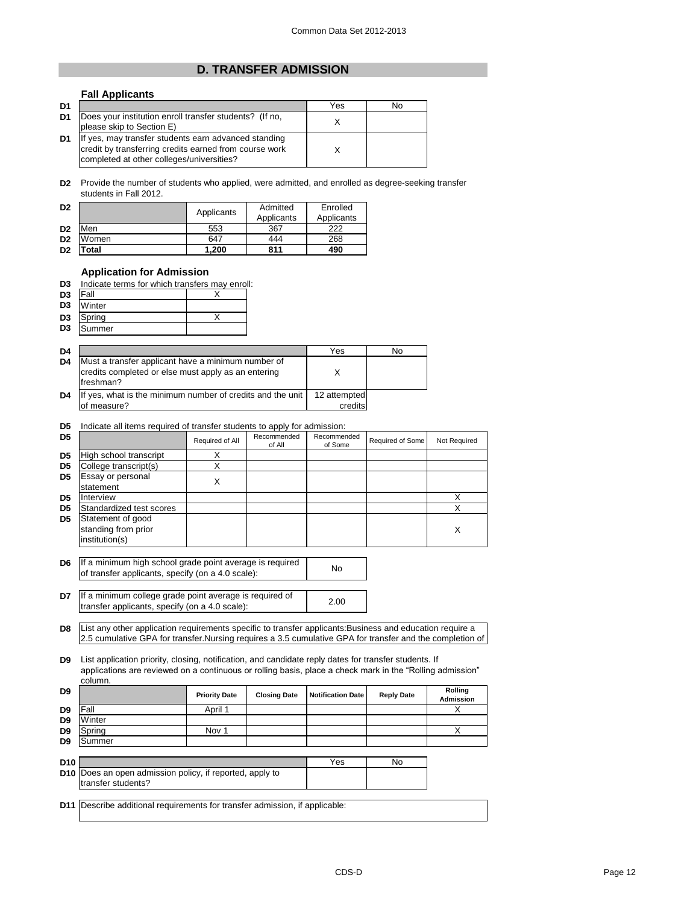# **D. TRANSFER ADMISSION**

### **Fall Applicants D1** Yes No **D1** Does your institution enroll transfer students? (If no,  $\begin{array}{ccc} \n\text{N} \\
\end{array}$ **D1** X please skip to Section E) If yes, may transfer students earn advanced standing credit by transferring credits earned from course work completed at other colleges/universities?

**D2** Provide the number of students who applied, were admitted, and enrolled as degree-seeking transfer students in Fall 2012.

| D <sub>2</sub> |       | Applicants | Admitted<br>Applicants | Enrolled<br>Applicants |
|----------------|-------|------------|------------------------|------------------------|
| D <sub>2</sub> | Men   | 553        | 367                    | 222                    |
| D <sub>2</sub> | Women | 647        | 444                    | 268                    |
| D <sub>2</sub> | Total | 1,200      | 811                    | 490                    |

### **Application for Admission**

| Indicate terms for which transfers may enroll: | D <sub>3</sub> |  |  |  |  |  |  |  |  |
|------------------------------------------------|----------------|--|--|--|--|--|--|--|--|
|------------------------------------------------|----------------|--|--|--|--|--|--|--|--|

| D <sub>3</sub> | Fall   |  |
|----------------|--------|--|
| D <sub>3</sub> | Winter |  |
| D <sub>3</sub> | Spring |  |
| D <sub>3</sub> | Summer |  |

| D <sub>4</sub> |                                                                                                                        | Yes          | No |
|----------------|------------------------------------------------------------------------------------------------------------------------|--------------|----|
| D <sub>4</sub> | Must a transfer applicant have a minimum number of<br>credits completed or else must apply as an entering<br>freshman? |              |    |
| D <sub>4</sub> | If yes, what is the minimum number of credits and the unit                                                             | 12 attempted |    |
|                | of measure?                                                                                                            | credits      |    |

### **D5** Indicate all items required of transfer students to apply for admission:

| D <sub>5</sub> |                                                            | Required of All | Recommended<br>of All | Recommended<br>of Some | Required of Some | Not Required |
|----------------|------------------------------------------------------------|-----------------|-----------------------|------------------------|------------------|--------------|
| D <sub>5</sub> | High school transcript                                     |                 |                       |                        |                  |              |
| D <sub>5</sub> | College transcript(s)                                      |                 |                       |                        |                  |              |
| D <sub>5</sub> | Essay or personal<br>statement                             | X               |                       |                        |                  |              |
| D <sub>5</sub> | Interview                                                  |                 |                       |                        |                  |              |
| D <sub>5</sub> | Standardized test scores                                   |                 |                       |                        |                  |              |
| D <sub>5</sub> | Statement of good<br>standing from prior<br>institution(s) |                 |                       |                        |                  | х            |

**D6** If a minimum high school grade point average is required <br>
of transfer applicants, aposity (cp. a.d. 0 coals): of transfer applicants, specify (on a 4.0 scale):

**D7** If a minimum college grade point average is required of <br>transfer applicants, aposity (ap a 4.0 socle): transfer applicants, specify (on a 4.0 scale):

**D8** List any other application requirements specific to transfer applicants:Business and education require a 2.5 cumulative GPA for transfer.Nursing requires a 3.5 cumulative GPA for transfer and the completion of

**D9** List application priority, closing, notification, and candidate reply dates for transfer students. If applications are reviewed on a continuous or rolling basis, place a check mark in the "Rolling admission" column.

| D9              |                                                              | <b>Priority Date</b> | <b>Closing Date</b> | <b>Notification Date</b> | <b>Reply Date</b> | Rolling<br><b>Admission</b> |
|-----------------|--------------------------------------------------------------|----------------------|---------------------|--------------------------|-------------------|-----------------------------|
| D9              | Fall                                                         | April 1              |                     |                          |                   |                             |
| D <sub>9</sub>  | Winter                                                       |                      |                     |                          |                   |                             |
| D <sub>9</sub>  | Spring                                                       | Nov <sub>1</sub>     |                     |                          |                   |                             |
| D <sub>9</sub>  | Summer                                                       |                      |                     |                          |                   |                             |
|                 |                                                              |                      |                     |                          |                   |                             |
| D <sub>10</sub> |                                                              |                      |                     | Yes                      | No                |                             |
|                 | <b>D40</b> Deep an approximation policy if reported apply to |                      |                     |                          |                   |                             |

|                                                                 | . | . |  |
|-----------------------------------------------------------------|---|---|--|
| <b>D10</b> Does an open admission policy, if reported, apply to |   |   |  |
| Itransfer students?                                             |   |   |  |
|                                                                 |   |   |  |

**D11** Describe additional requirements for transfer admission, if applicable: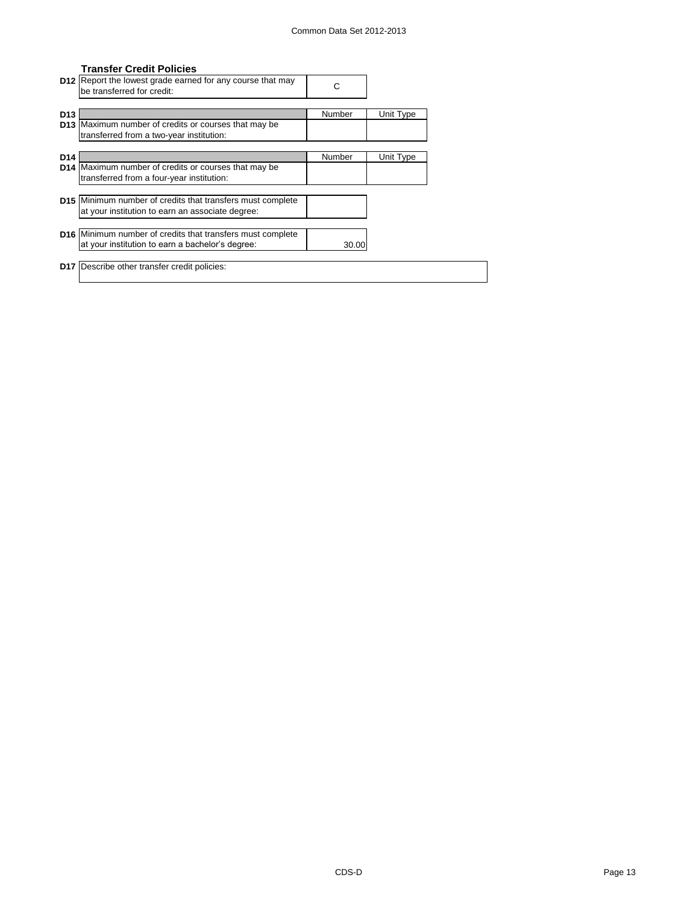# **Transfer Credit Policies**

|                 | D12 Report the lowest grade earned for any course that may<br>be transferred for credit: | С      |           |
|-----------------|------------------------------------------------------------------------------------------|--------|-----------|
|                 |                                                                                          |        |           |
| D <sub>13</sub> |                                                                                          | Number | Unit Type |
|                 | D13 Maximum number of credits or courses that may be                                     |        |           |
|                 | transferred from a two-year institution:                                                 |        |           |
|                 |                                                                                          |        |           |
|                 |                                                                                          |        |           |
| D <sub>14</sub> |                                                                                          | Number | Unit Type |
|                 | D14 Maximum number of credits or courses that may be                                     |        |           |
|                 | transferred from a four-year institution:                                                |        |           |
|                 |                                                                                          |        |           |
|                 | <b>D15</b> Minimum number of credits that transfers must complete                        |        |           |
|                 | at your institution to earn an associate degree:                                         |        |           |
|                 |                                                                                          |        |           |
|                 |                                                                                          |        |           |
|                 | <b>D16</b> Minimum number of credits that transfers must complete                        |        |           |
|                 | at your institution to earn a bachelor's degree:                                         | 30.00  |           |
|                 |                                                                                          |        |           |
|                 | <b>D17</b> Describe other transfer credit policies:                                      |        |           |
|                 |                                                                                          |        |           |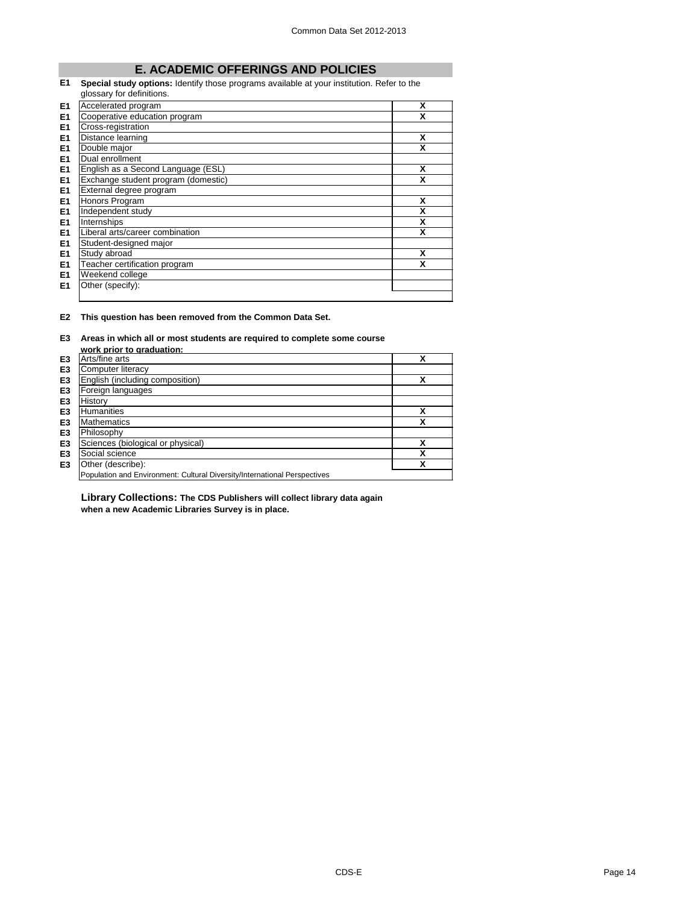# **E. ACADEMIC OFFERINGS AND POLICIES**

### **E1 Special study options:** Identify those programs available at your institution. Refer to the glossary for definitions.

|                | 9.00001, 101001111101101            |   |
|----------------|-------------------------------------|---|
| E <sub>1</sub> | Accelerated program                 | X |
| E <sub>1</sub> | Cooperative education program       | χ |
| E <sub>1</sub> | Cross-registration                  |   |
| E <sub>1</sub> | Distance learning                   | X |
| E <sub>1</sub> | Double major                        | X |
| E <sub>1</sub> | Dual enrollment                     |   |
| E <sub>1</sub> | English as a Second Language (ESL)  | x |
| E <sub>1</sub> | Exchange student program (domestic) | x |
| E <sub>1</sub> | External degree program             |   |
| E <sub>1</sub> | Honors Program                      | X |
| E <sub>1</sub> | Independent study                   | х |
| E <sub>1</sub> | Internships                         | х |
| E <sub>1</sub> | Liberal arts/career combination     | X |
| E <sub>1</sub> | Student-designed major              |   |
| E <sub>1</sub> | Study abroad                        | x |
| E <sub>1</sub> | Teacher certification program       | X |
| E <sub>1</sub> | Weekend college                     |   |
| E1             | Other (specify):                    |   |
|                |                                     |   |

### **E2 This question has been removed from the Common Data Set.**

# **E3 Areas in which all or most students are required to complete some course**

|                | work prior to graduation:                                                 |   |
|----------------|---------------------------------------------------------------------------|---|
| E <sub>3</sub> | Arts/fine arts                                                            | χ |
| E <sub>3</sub> | Computer literacy                                                         |   |
| E <sub>3</sub> | English (including composition)                                           | X |
| E <sub>3</sub> | Foreign languages                                                         |   |
| E <sub>3</sub> | History                                                                   |   |
| E <sub>3</sub> | <b>Humanities</b>                                                         | χ |
| E <sub>3</sub> | <b>Mathematics</b>                                                        | χ |
| E <sub>3</sub> | Philosophy                                                                |   |
| E <sub>3</sub> | Sciences (biological or physical)                                         | χ |
| E <sub>3</sub> | Social science                                                            | χ |
| E <sub>3</sub> | Other (describe):                                                         | х |
|                | Population and Environment: Cultural Diversity/International Perspectives |   |

**Library Collections: The CDS Publishers will collect library data again when a new Academic Libraries Survey is in place.**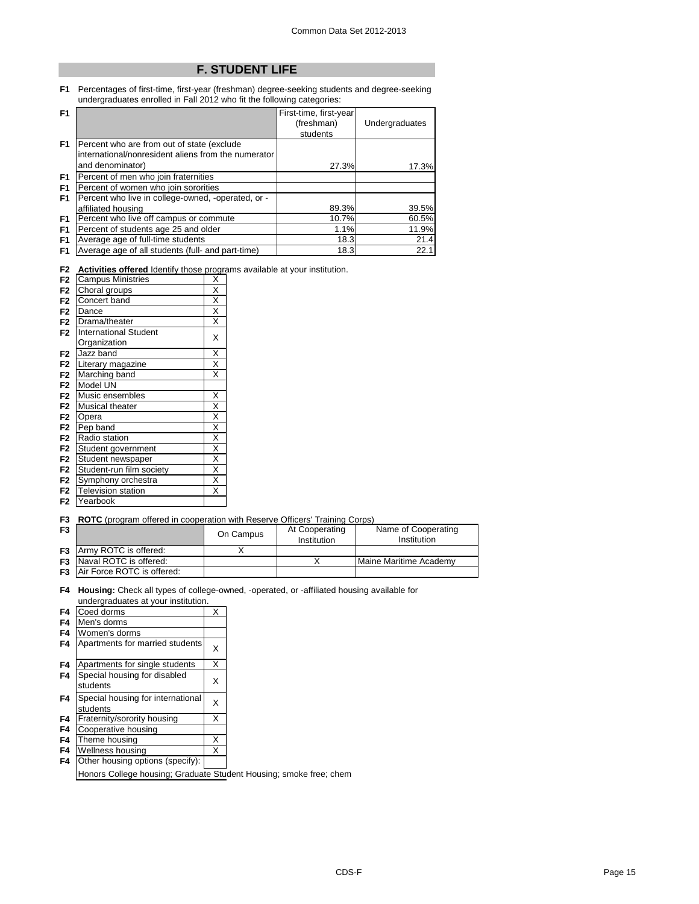# **F. STUDENT LIFE**

**F1** Percentages of first-time, first-year (freshman) degree-seeking students and degree-seeking undergraduates enrolled in Fall 2012 who fit the following categories:

| F <sub>1</sub> |                                                     | First-time, first-year |                |
|----------------|-----------------------------------------------------|------------------------|----------------|
|                |                                                     | (freshman)             | Undergraduates |
|                |                                                     | students               |                |
| F <sub>1</sub> | Percent who are from out of state (exclude          |                        |                |
|                | international/nonresident aliens from the numerator |                        |                |
|                | and denominator)                                    | 27.3%                  | 17.3%          |
| F <sub>1</sub> | Percent of men who join fraternities                |                        |                |
| F <sub>1</sub> | Percent of women who join sororities                |                        |                |
| F <sub>1</sub> | Percent who live in college-owned, -operated, or -  |                        |                |
|                | affiliated housing                                  | 89.3%                  | 39.5%          |
| F1             | Percent who live off campus or commute              | 10.7%                  | 60.5%          |
| F <sub>1</sub> | Percent of students age 25 and older                | 1.1%                   | 11.9%          |
| F <sub>1</sub> | Average age of full-time students                   | 18.3                   | 21.4           |
| F <sub>1</sub> | Average age of all students (full- and part-time)   | 18.3                   | 22.1           |

**F2 Activities offered** Identify those programs available at your institution.

| F <sub>2</sub> | <b>Campus Ministries</b>     | X                       |
|----------------|------------------------------|-------------------------|
| F <sub>2</sub> | Choral groups                | $\overline{\mathsf{x}}$ |
| F <sub>2</sub> | Concert band                 | X                       |
| F <sub>2</sub> | Dance                        | $\overline{\mathsf{x}}$ |
| F2             | Drama/theater                | $\overline{\mathsf{x}}$ |
| F2             | <b>International Student</b> | X                       |
|                | Organization                 |                         |
| F <sub>2</sub> | Jazz band                    | Χ                       |
| F <sub>2</sub> | Literary magazine            | $\overline{\mathsf{x}}$ |
| F <sub>2</sub> | Marching band                | $\overline{\mathsf{x}}$ |
| F2             | Model UN                     |                         |
| F <sub>2</sub> | Music ensembles              | Χ                       |
| F <sub>2</sub> | Musical theater              | X                       |
| F <sub>2</sub> | Opera                        | $\overline{\mathsf{x}}$ |
| F <sub>2</sub> | Pep band                     | $\overline{\mathsf{x}}$ |
| F <sub>2</sub> | Radio station                | χ                       |
| F <sub>2</sub> | Student government           | χ                       |
| F <sub>2</sub> | Student newspaper            | $\overline{\mathsf{x}}$ |
| F <sub>2</sub> | Student-run film society     | X                       |
| F <sub>2</sub> | Symphony orchestra           | X                       |
| F <sub>2</sub> | <b>Television station</b>    | X                       |
| F <sub>2</sub> | Yearbook                     |                         |

### **F3 ROTC** (program offered in cooperation with Reserve Officers' Training Corps)

| F <sub>3</sub> |                                      | On Campus | At Cooperating<br>Institution | Name of Cooperating<br>Institution |
|----------------|--------------------------------------|-----------|-------------------------------|------------------------------------|
|                | <b>F3</b> Army ROTC is offered:      |           |                               |                                    |
|                | <b>F3</b> Naval ROTC is offered:     |           |                               | Maine Maritime Academy             |
|                | <b>F3</b> Air Force ROTC is offered: |           |                               |                                    |

### **F4 Housing:** Check all types of college-owned, -operated, or -affiliated housing available for undergraduates at your institution.

| F4 | Coed dorms                                    | X |
|----|-----------------------------------------------|---|
| F4 | Men's dorms                                   |   |
| F4 | Women's dorms                                 |   |
| F4 | Apartments for married students               | X |
| F4 | Apartments for single students                | X |
| F4 | Special housing for disabled<br>students      | X |
| F4 | Special housing for international<br>students | X |
| F4 | Fraternity/sorority housing                   | X |
| F4 | Cooperative housing                           |   |
| F4 | Theme housing                                 | X |
| F4 | Wellness housing                              | X |
| F4 | Other housing options (specify):              |   |
|    |                                               |   |

Honors College housing; Graduate Student Housing; smoke free; chem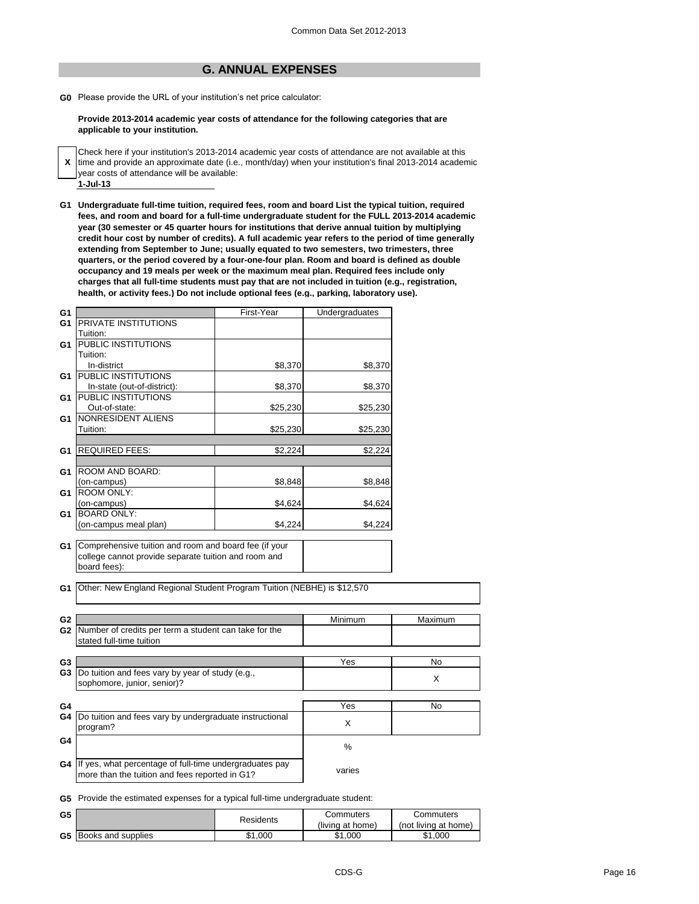# **G. ANNUAL EXPENSES**

**G0** Please provide the URL of your institution's net price calculator:

**Provide 2013-2014 academic year costs of attendance for the following categories that are applicable to your institution.**

- **X** Check here if your institution's 2013-2014 academic year costs of attendance are not available at this time and provide an approximate date (i.e., month/day) when your institution's final 2013-2014 academic year costs of attendance will be available:
- **1-Jul-13**

**G1 Undergraduate full-time tuition, required fees, room and board List the typical tuition, required fees, and room and board for a full-time undergraduate student for the FULL 2013-2014 academic year (30 semester or 45 quarter hours for institutions that derive annual tuition by multiplying credit hour cost by number of credits). A full academic year refers to the period of time generally extending from September to June; usually equated to two semesters, two trimesters, three quarters, or the period covered by a four-one-four plan. Room and board is defined as double occupancy and 19 meals per week or the maximum meal plan. Required fees include only charges that all full-time students must pay that are not included in tuition (e.g., registration, health, or activity fees.) Do not include optional fees (e.g., parking, laboratory use).**

| G <sub>1</sub> |                                                                         | First-Year | Undergraduates |           |
|----------------|-------------------------------------------------------------------------|------------|----------------|-----------|
| G1             | <b>PRIVATE INSTITUTIONS</b>                                             |            |                |           |
|                | Tuition:                                                                |            |                |           |
| G1             | PUBLIC INSTITUTIONS                                                     |            |                |           |
|                | Tuition:                                                                |            |                |           |
|                | In-district                                                             | \$8,370    | \$8,370        |           |
| G1             | PUBLIC INSTITUTIONS                                                     |            |                |           |
|                | In-state (out-of-district):                                             | \$8,370    | \$8,370        |           |
| G1             | <b>PUBLIC INSTITUTIONS</b>                                              |            |                |           |
|                | Out-of-state:                                                           | \$25,230   | \$25,230       |           |
| G1             | NONRESIDENT ALIENS                                                      |            |                |           |
|                | Tuition:                                                                | \$25,230   | \$25,230       |           |
|                |                                                                         |            |                |           |
| G1.            | <b>REQUIRED FEES:</b>                                                   | \$2,224    | \$2,224        |           |
|                |                                                                         |            |                |           |
| G1             | ROOM AND BOARD:                                                         |            |                |           |
|                | (on-campus)                                                             | \$8,848    | \$8,848        |           |
| G1             | <b>ROOM ONLY:</b>                                                       |            |                |           |
|                | (on-campus)                                                             | \$4,624    | \$4,624        |           |
| G1             | <b>BOARD ONLY:</b>                                                      |            |                |           |
|                | (on-campus meal plan)                                                   | \$4,224    | \$4,224        |           |
| G1             | Comprehensive tuition and room and board fee (if your                   |            |                |           |
|                | college cannot provide separate tuition and room and                    |            |                |           |
|                | board fees):                                                            |            |                |           |
|                |                                                                         |            |                |           |
| G1             | Other: New England Regional Student Program Tuition (NEBHE) is \$12,570 |            |                |           |
|                |                                                                         |            |                |           |
|                |                                                                         |            |                |           |
| G <sub>2</sub> |                                                                         |            | Minimum        | Maximum   |
| G <sub>2</sub> | Number of credits per term a student can take for the                   |            |                |           |
|                | stated full-time tuition                                                |            |                |           |
|                |                                                                         |            |                |           |
| G <sub>3</sub> |                                                                         |            | Yes            | No        |
| G <sub>3</sub> | Do tuition and fees vary by year of study (e.g.,                        |            |                | X         |
|                | sophomore, junior, senior)?                                             |            |                |           |
| G4             |                                                                         |            | Yes            | <b>No</b> |
| G4             | Do tuition and fees vary by undergraduate instructional                 |            |                |           |
|                | program?                                                                |            | X              |           |
| G4             |                                                                         |            |                |           |
|                |                                                                         |            | $\frac{0}{0}$  |           |
| G4             | If yes, what percentage of full-time undergraduates pay                 |            |                |           |
|                | more than the tuition and fees reported in G1?                          |            | varies         |           |
|                |                                                                         |            |                |           |

**G5** Provide the estimated expenses for a typical full-time undergraduate student:

| G5 |                              | Residents | Commuters        | Commuters            |  |
|----|------------------------------|-----------|------------------|----------------------|--|
|    |                              |           | (living at home) | (not living at home) |  |
|    | <b>G5</b> Books and supplies | \$1,000   | .000<br>\$1      | \$1,000              |  |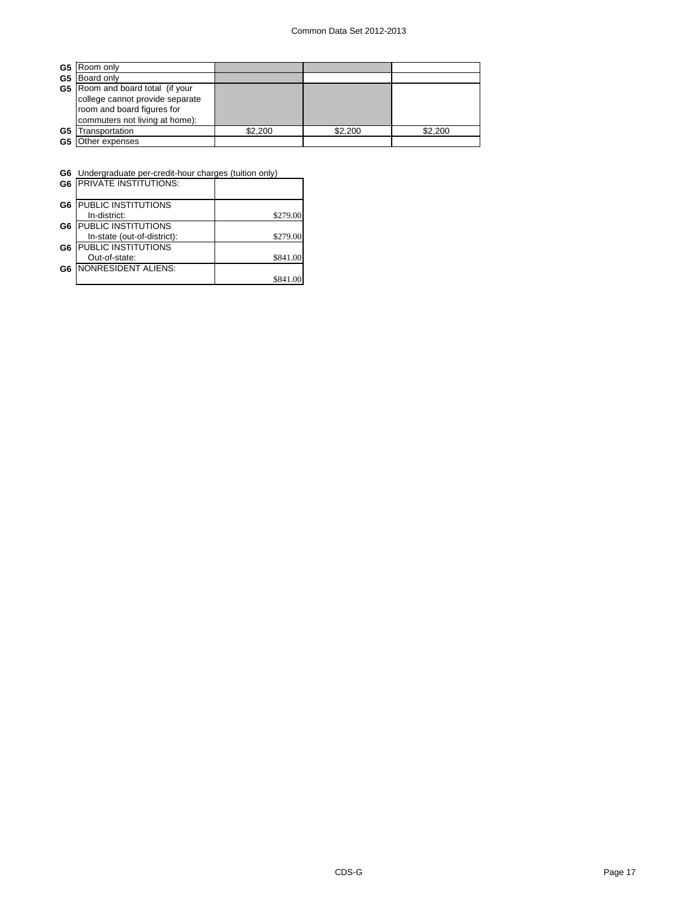| G5 | Room only                               |         |         |         |
|----|-----------------------------------------|---------|---------|---------|
|    | G5 Board only                           |         |         |         |
|    | <b>G5</b> Room and board total (if your |         |         |         |
|    | college cannot provide separate         |         |         |         |
|    | room and board figures for              |         |         |         |
|    | commuters not living at home):          |         |         |         |
| G5 | Transportation                          | \$2.200 | \$2,200 | \$2,200 |
| G5 | Other expenses                          |         |         |         |

| G6 Undergraduate per-credit-hour charges (tuition only) |  |
|---------------------------------------------------------|--|
| $\overline{A}$                                          |  |

| G <sub>6</sub> | <b>IPRIVATE INSTITUTIONS:</b> |          |
|----------------|-------------------------------|----------|
| G <sub>6</sub> | PUBLIC INSTITUTIONS           |          |
|                | In-district:                  | \$279.00 |
| G6             | PUBLIC INSTITUTIONS           |          |
|                | In-state (out-of-district):   | \$279.00 |
| G6             | PUBLIC INSTITUTIONS           |          |
|                | Out-of-state:                 | \$841.00 |
| G6             | <b>NONRESIDENT ALIENS:</b>    |          |
|                |                               | \$841.00 |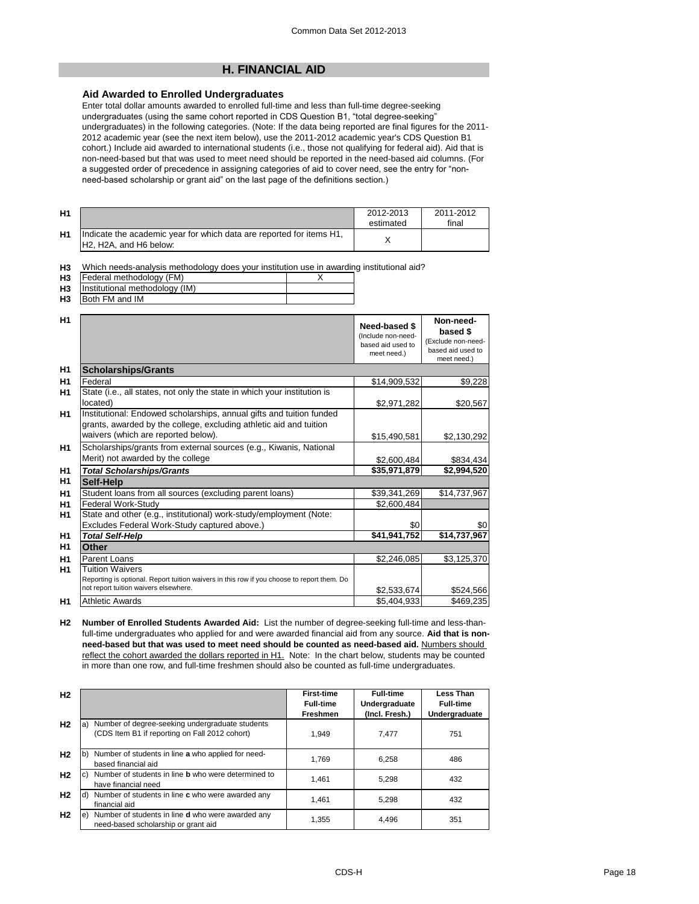# **H. FINANCIAL AID**

# **Aid Awarded to Enrolled Undergraduates**

Enter total dollar amounts awarded to enrolled full-time and less than full-time degree-seeking undergraduates (using the same cohort reported in CDS Question B1, "total degree-seeking" undergraduates) in the following categories. (Note: If the data being reported are final figures for the 2011- 2012 academic year (see the next item below), use the 2011-2012 academic year's CDS Question B1 cohort.) Include aid awarded to international students (i.e., those not qualifying for federal aid). Aid that is non-need-based but that was used to meet need should be reported in the need-based aid columns. (For a suggested order of precedence in assigning categories of aid to cover need, see the entry for "nonneed-based scholarship or grant aid" on the last page of the definitions section.)

| H <sub>1</sub> |                                                                                                                                      | 2012-2013<br>estimated | 2011-2012<br>final |
|----------------|--------------------------------------------------------------------------------------------------------------------------------------|------------------------|--------------------|
| H <sub>1</sub> | Indicate the academic year for which data are reported for items H1,<br>H <sub>2</sub> . H <sub>2</sub> A, and H <sub>6</sub> below: |                        |                    |

**H3** Which needs-analysis methodology does your institution use in awarding institutional aid?

| <b>H3</b> | Federal methodology (FM)          |  |
|-----------|-----------------------------------|--|
|           | H3 Institutional methodology (IM) |  |
|           | <b>H3</b> Both FM and IM          |  |

| H1             |                                                                                                                                                                                   | Need-based \$<br>(Include non-need-<br>based aid used to<br>meet need.) | Non-need-<br>based \$<br>(Exclude non-need-<br>based aid used to<br>meet need.) |
|----------------|-----------------------------------------------------------------------------------------------------------------------------------------------------------------------------------|-------------------------------------------------------------------------|---------------------------------------------------------------------------------|
| H <sub>1</sub> | <b>Scholarships/Grants</b>                                                                                                                                                        |                                                                         |                                                                                 |
| H1             | Federal                                                                                                                                                                           | \$14,909,532                                                            | \$9,228                                                                         |
| H1             | State (i.e., all states, not only the state in which your institution is<br>located)                                                                                              | \$2,971,282                                                             | \$20,567                                                                        |
| H <sub>1</sub> | Institutional: Endowed scholarships, annual gifts and tuition funded<br>grants, awarded by the college, excluding athletic aid and tuition<br>waivers (which are reported below). | \$15,490,581                                                            | \$2,130,292                                                                     |
| H <sub>1</sub> | Scholarships/grants from external sources (e.g., Kiwanis, National<br>Merit) not awarded by the college                                                                           | \$2,600,484                                                             | \$834,434                                                                       |
| H <sub>1</sub> | <b>Total Scholarships/Grants</b>                                                                                                                                                  | \$35,971,879                                                            | \$2,994,520                                                                     |
| H1             | Self-Help                                                                                                                                                                         |                                                                         |                                                                                 |
| H1             | Student loans from all sources (excluding parent loans)                                                                                                                           | \$39,341,269                                                            | \$14,737,967                                                                    |
| H <sub>1</sub> | Federal Work-Study                                                                                                                                                                | \$2,600,484                                                             |                                                                                 |
| H1             | State and other (e.g., institutional) work-study/employment (Note:                                                                                                                |                                                                         |                                                                                 |
|                | Excludes Federal Work-Study captured above.)                                                                                                                                      | \$0                                                                     | \$0                                                                             |
| H1             | <b>Total Self-Help</b>                                                                                                                                                            | \$41,941,752                                                            | \$14,737,967                                                                    |
| H1             | <b>Other</b>                                                                                                                                                                      |                                                                         |                                                                                 |
| H <sub>1</sub> | <b>Parent Loans</b>                                                                                                                                                               | \$2,246,085                                                             | \$3,125,370                                                                     |
| H1             | <b>Tuition Waivers</b><br>Reporting is optional. Report tuition waivers in this row if you choose to report them. Do<br>not report tuition waivers elsewhere.                     | \$2,533,674                                                             | \$524,566                                                                       |
| H1             | <b>Athletic Awards</b>                                                                                                                                                            | \$5.404.933                                                             | \$469,235                                                                       |

**H2 Number of Enrolled Students Awarded Aid:** List the number of degree-seeking full-time and less-thanfull-time undergraduates who applied for and were awarded financial aid from any source. **Aid that is nonneed-based but that was used to meet need should be counted as need-based aid.** Numbers should reflect the cohort awarded the dollars reported in H1. Note: In the chart below, students may be counted in more than one row, and full-time freshmen should also be counted as full-time undergraduates.

| H <sub>2</sub> |    |                                                                                                   | <b>First-time</b><br><b>Full-time</b><br><b>Freshmen</b> | <b>Full-time</b><br>Undergraduate<br>(Incl. Fresh.) | Less Than<br><b>Full-time</b><br>Undergraduate |
|----------------|----|---------------------------------------------------------------------------------------------------|----------------------------------------------------------|-----------------------------------------------------|------------------------------------------------|
| H <sub>2</sub> | a) | Number of degree-seeking undergraduate students<br>(CDS Item B1 if reporting on Fall 2012 cohort) | 1.949                                                    | 7.477                                               | 751                                            |
| H <sub>2</sub> | b) | Number of students in line a who applied for need-<br>based financial aid                         | 1.769                                                    | 6.258                                               | 486                                            |
| H <sub>2</sub> |    | Number of students in line <b>b</b> who were determined to<br>have financial need                 | 1.461                                                    | 5.298                                               | 432                                            |
| H <sub>2</sub> |    | Number of students in line c who were awarded any<br>financial aid                                | 1.461                                                    | 5.298                                               | 432                                            |
| H <sub>2</sub> | e) | Number of students in line <b>d</b> who were awarded any<br>need-based scholarship or grant aid   | 1,355                                                    | 4,496                                               | 351                                            |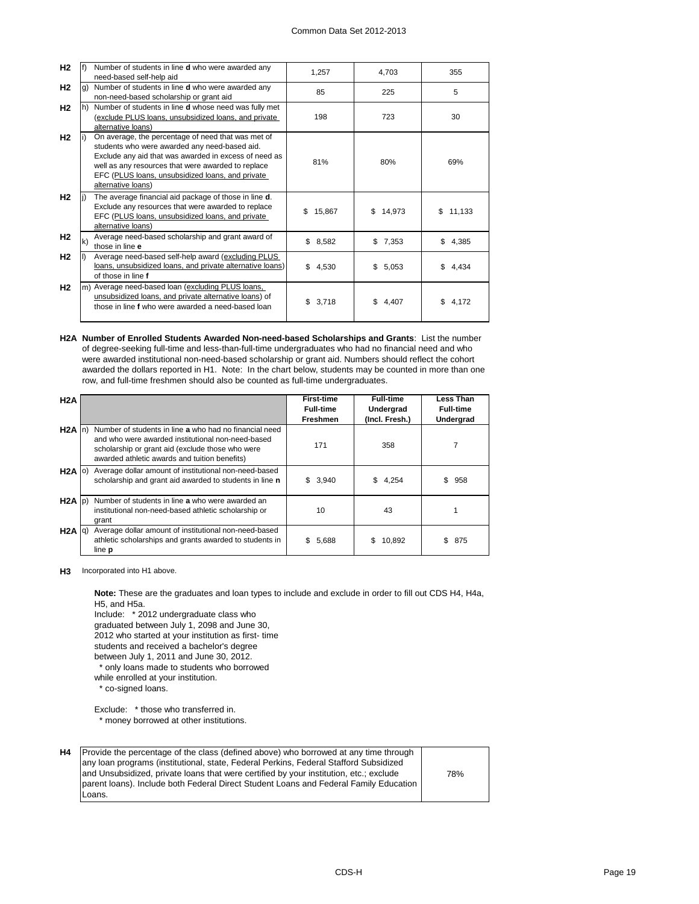| H2             |              | Number of students in line <b>d</b> who were awarded any<br>need-based self-help aid                                                                                                                                                                                                         | 1,257        | 4,703        | 355          |
|----------------|--------------|----------------------------------------------------------------------------------------------------------------------------------------------------------------------------------------------------------------------------------------------------------------------------------------------|--------------|--------------|--------------|
| H <sub>2</sub> | g)           | Number of students in line d who were awarded any<br>non-need-based scholarship or grant aid                                                                                                                                                                                                 | 85           | 225          | 5            |
| H2             | lh)          | Number of students in line <b>d</b> whose need was fully met<br>(exclude PLUS loans, unsubsidized loans, and private<br>alternative loans)                                                                                                                                                   | 198          | 723          | 30           |
| H <sub>2</sub> |              | On average, the percentage of need that was met of<br>students who were awarded any need-based aid.<br>Exclude any aid that was awarded in excess of need as<br>well as any resources that were awarded to replace<br>EFC (PLUS loans, unsubsidized loans, and private<br>alternative loans) | 81%          | 80%          | 69%          |
| <b>H2</b>      |              | The average financial aid package of those in line <b>d</b> .<br>Exclude any resources that were awarded to replace<br>EFC (PLUS loans, unsubsidized loans, and private<br>alternative loans)                                                                                                | 15,867<br>\$ | 14,973<br>\$ | 11,133<br>\$ |
| H2             | $\mathbf{k}$ | Average need-based scholarship and grant award of<br>those in line e                                                                                                                                                                                                                         | \$8,582      | \$7,353      | \$<br>4,385  |
| H <sub>2</sub> |              | Average need-based self-help award (excluding PLUS<br>loans, unsubsidized loans, and private alternative loans)<br>of those in line f                                                                                                                                                        | \$4,530      | \$5,053      | \$4.434      |
| H <sub>2</sub> |              | m) Average need-based loan (excluding PLUS loans,<br>unsubsidized loans, and private alternative loans) of<br>those in line f who were awarded a need-based loan                                                                                                                             | \$<br>3.718  | \$4.407      | \$4.172      |

**H2A Number of Enrolled Students Awarded Non-need-based Scholarships and Grants**: List the number of degree-seeking full-time and less-than-full-time undergraduates who had no financial need and who were awarded institutional non-need-based scholarship or grant aid. Numbers should reflect the cohort awarded the dollars reported in H1. Note: In the chart below, students may be counted in more than one row, and full-time freshmen should also be counted as full-time undergraduates.

| H2A               |                                                                                                                                                                                                                  | <b>First-time</b><br><b>Full-time</b> | <b>Full-time</b><br>Undergrad | Less Than<br><b>Full-time</b> |
|-------------------|------------------------------------------------------------------------------------------------------------------------------------------------------------------------------------------------------------------|---------------------------------------|-------------------------------|-------------------------------|
|                   |                                                                                                                                                                                                                  | Freshmen                              | (Incl. Fresh.)                | Undergrad                     |
| $H2A$ In          | Number of students in line a who had no financial need<br>and who were awarded institutional non-need-based<br>scholarship or grant aid (exclude those who were<br>awarded athletic awards and tuition benefits) | 171                                   | 358                           |                               |
| $H2A$ (0)         | Average dollar amount of institutional non-need-based<br>scholarship and grant aid awarded to students in line n                                                                                                 | 3,940<br>\$                           | 4,254<br>\$.                  | \$.<br>958                    |
| $H2A$ $ p\rangle$ | Number of students in line a who were awarded an<br>institutional non-need-based athletic scholarship or<br>grant                                                                                                | 10                                    | 43                            |                               |
| $H2A$ $q$ )       | Average dollar amount of institutional non-need-based<br>athletic scholarships and grants awarded to students in<br>line <b>p</b>                                                                                | \$<br>5,688                           | 10,892<br>S                   | \$<br>875                     |

**H3** Incorporated into H1 above.

Include: \* 2012 undergraduate class who **Note:** These are the graduates and loan types to include and exclude in order to fill out CDS H4, H4a, H5, and H5a.

graduated between July 1, 2098 and June 30, 2012 who started at your institution as first- time students and received a bachelor's degree between July 1, 2011 and June 30, 2012.

\* only loans made to students who borrowed

while enrolled at your institution.

\* co-signed loans.

Exclude: \* those who transferred in. \* money borrowed at other institutions.

**H4** Provide the percentage of the class (defined above) who borrowed at any time through any loan programs (institutional, state, Federal Perkins, Federal Stafford Subsidized and Unsubsidized, private loans that were certified by your institution, etc.; exclude parent loans). Include both Federal Direct Student Loans and Federal Family Education Loans.

78%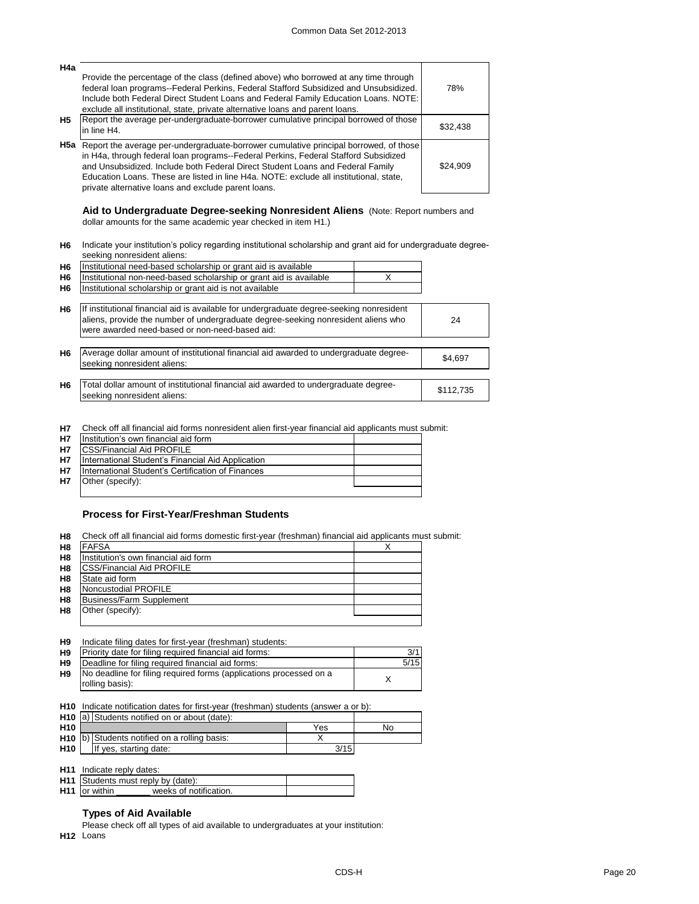| H4a | Provide the percentage of the class (defined above) who borrowed at any time through<br>federal loan programs--Federal Perkins, Federal Stafford Subsidized and Unsubsidized.<br>Include both Federal Direct Student Loans and Federal Family Education Loans. NOTE:<br>exclude all institutional, state, private alternative loans and parent loans.                                                                      | 78%      |
|-----|----------------------------------------------------------------------------------------------------------------------------------------------------------------------------------------------------------------------------------------------------------------------------------------------------------------------------------------------------------------------------------------------------------------------------|----------|
| H5  | Report the average per-undergraduate-borrower cumulative principal borrowed of those<br>in line H4.                                                                                                                                                                                                                                                                                                                        | \$32,438 |
|     | <b>H5a</b> Report the average per-undergraduate-borrower cumulative principal borrowed, of those<br>in H4a, through federal loan programs--Federal Perkins, Federal Stafford Subsidized<br>and Unsubsidized. Include both Federal Direct Student Loans and Federal Family<br>Education Loans. These are listed in line H4a. NOTE: exclude all institutional, state,<br>private alternative loans and exclude parent loans. | \$24.909 |

**Aid to Undergraduate Degree-seeking Nonresident Aliens** (Note: Report numbers and dollar amounts for the same academic year checked in item H1.)

**H6** Indicate your institution's policy regarding institutional scholarship and grant aid for undergraduate degreeseeking nonresident aliens:

| H6             | Institutional need-based scholarship or grant aid is available                                                                                                                                                                  |   |           |
|----------------|---------------------------------------------------------------------------------------------------------------------------------------------------------------------------------------------------------------------------------|---|-----------|
| H6             | Institutional non-need-based scholarship or grant aid is available                                                                                                                                                              | x |           |
| H6             | Institutional scholarship or grant aid is not available                                                                                                                                                                         |   |           |
| H6             | If institutional financial aid is available for undergraduate degree-seeking nonresident<br>aliens, provide the number of undergraduate degree-seeking nonresident aliens who<br>were awarded need-based or non-need-based aid: |   | 24        |
| H <sub>6</sub> | Average dollar amount of institutional financial aid awarded to undergraduate degree-<br>seeking nonresident aliens:                                                                                                            |   | \$4,697   |
| H6             | Total dollar amount of institutional financial aid awarded to undergraduate degree-<br>seeking nonresident aliens:                                                                                                              |   | \$112,735 |
|                |                                                                                                                                                                                                                                 |   |           |

**H7** Check off all financial aid forms nonresident alien first-year financial aid applicants must submit:

| <b>H7</b> | Institution's own financial aid form              |  |
|-----------|---------------------------------------------------|--|
| <b>H7</b> | <b>ICSS/Financial Aid PROFILE</b>                 |  |
| <b>H7</b> | International Student's Financial Aid Application |  |
| <b>H7</b> | International Student's Certification of Finances |  |
| <b>H7</b> | Other (specify):                                  |  |
|           |                                                   |  |

# **Process for First-Year/Freshman Students**

| H <sub>8</sub> | Check off all financial aid forms domestic first-year (freshman) financial aid applicants must submit: |  |
|----------------|--------------------------------------------------------------------------------------------------------|--|
| H <sub>8</sub> | <b>FAFSA</b>                                                                                           |  |
| H <sub>8</sub> | Institution's own financial aid form                                                                   |  |
| H <sub>8</sub> | <b>CSS/Financial Aid PROFILE</b>                                                                       |  |
| H <sub>8</sub> | State aid form                                                                                         |  |
| H <sub>8</sub> | Noncustodial PROFILE                                                                                   |  |
| H <sub>8</sub> | Business/Farm Supplement                                                                               |  |
| H8             | Other (specify):                                                                                       |  |
|                |                                                                                                        |  |

| H <sub>9</sub> | Indicate filing dates for first-year (freshman) students:          |      |
|----------------|--------------------------------------------------------------------|------|
| H <sub>9</sub> | Priority date for filing required financial aid forms:             | 3/1  |
| H <sub>9</sub> | Deadline for filing required financial aid forms:                  | 5/15 |
| H <sub>9</sub> | No deadline for filing required forms (applications processed on a |      |
|                | rolling basis):                                                    |      |
|                |                                                                    |      |

**H10** Indicate notification dates for first-year (freshman) students (answer a or b):

|                 | H <sub>10</sub> a) Students notified on or about (date): |                                               |      |    |
|-----------------|----------------------------------------------------------|-----------------------------------------------|------|----|
| H <sub>10</sub> |                                                          |                                               | Yes  | No |
|                 |                                                          | H10 (b) Students notified on a rolling basis: |      |    |
| H <sub>10</sub> |                                                          | If yes, starting date:                        | 3/15 |    |
|                 |                                                          |                                               |      |    |

**H11** Indicate reply dates:

|                           | H11 Students must reply by (date): |  |
|---------------------------|------------------------------------|--|
| H <sub>11</sub> or within | weeks of notification.             |  |

# **Types of Aid Available**

Please check off all types of aid available to undergraduates at your institution:

**H12** Loans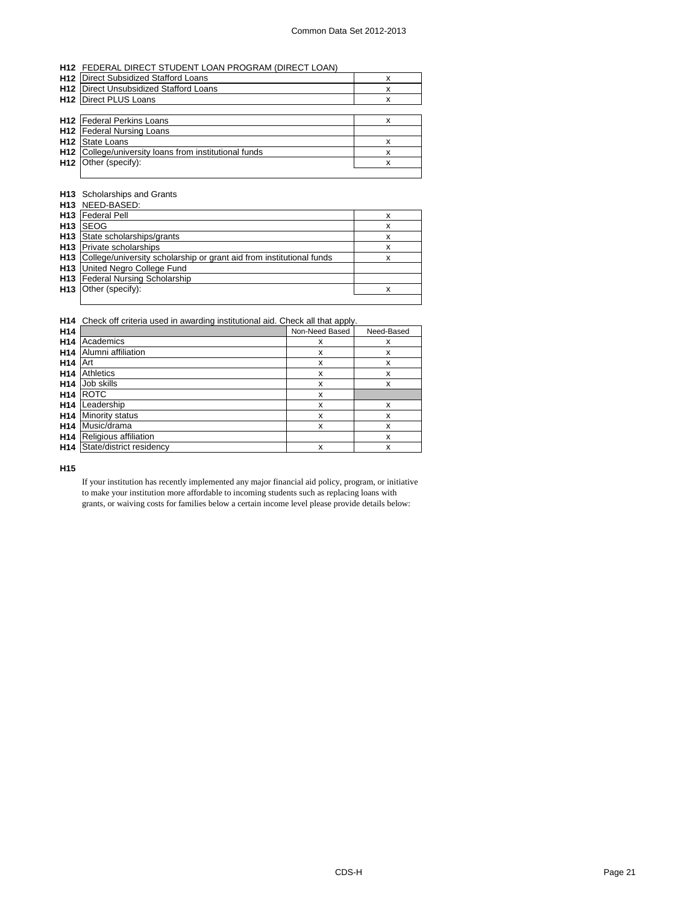### **H12** FEDERAL DIRECT STUDENT LOAN PROGRAM (DIRECT LOAN)

| <b>H12</b> Direct Subsidized Stafford Loans                  | х |
|--------------------------------------------------------------|---|
| <b>H12</b> I Direct Unsubsidized Stafford Loans              |   |
| <b>H12</b> Direct PLUS Loans                                 |   |
|                                                              |   |
| <b>H12</b> Federal Perkins Loans                             |   |
| <b>H12</b> Federal Nursing Loans                             |   |
| <b>H12</b> State Loans                                       |   |
| <b>H12</b> College/university loans from institutional funds | х |
| H <sub>12</sub> Other (specify):                             | x |
|                                                              |   |

### **H13** Scholarships and Grants

|                 | H13 NEED-BASED:                                                      |   |
|-----------------|----------------------------------------------------------------------|---|
| H <sub>13</sub> | <b>Federal Pell</b>                                                  | x |
| H <sub>13</sub> | <b>SEOG</b>                                                          | x |
| H <sub>13</sub> | State scholarships/grants                                            | x |
| H <sub>13</sub> | <b>Private scholarships</b>                                          | x |
| H <sub>13</sub> | College/university scholarship or grant aid from institutional funds | x |
| H <sub>13</sub> | United Negro College Fund                                            |   |
| H <sub>13</sub> | <b>Federal Nursing Scholarship</b>                                   |   |
| H <sub>13</sub> | Other (specify):                                                     | x |
|                 |                                                                      |   |

### **H14** Check off criteria used in awarding institutional aid. Check all that apply.

| H <sub>14</sub> |                          | Non-Need Based | Need-Based |
|-----------------|--------------------------|----------------|------------|
| H <sub>14</sub> | Academics                | x              | x          |
| H <sub>14</sub> | Alumni affiliation       | x              | x          |
| H <sub>14</sub> | Art                      | x              | x          |
| H <sub>14</sub> | <b>Athletics</b>         | x              | x          |
| H <sub>14</sub> | Job skills               | x              | x          |
| H <sub>14</sub> | <b>ROTC</b>              | x              |            |
| H <sub>14</sub> | Leadership               | x              | x          |
| H <sub>14</sub> | Minority status          | X              | x          |
| H <sub>14</sub> | Music/drama              | X              | x          |
| H <sub>14</sub> | Religious affiliation    |                | x          |
| H <sub>14</sub> | State/district residency | X              | x          |

**H15**

If your institution has recently implemented any major financial aid policy, program, or initiative to make your institution more affordable to incoming students such as replacing loans with grants, or waiving costs for families below a certain income level please provide details below: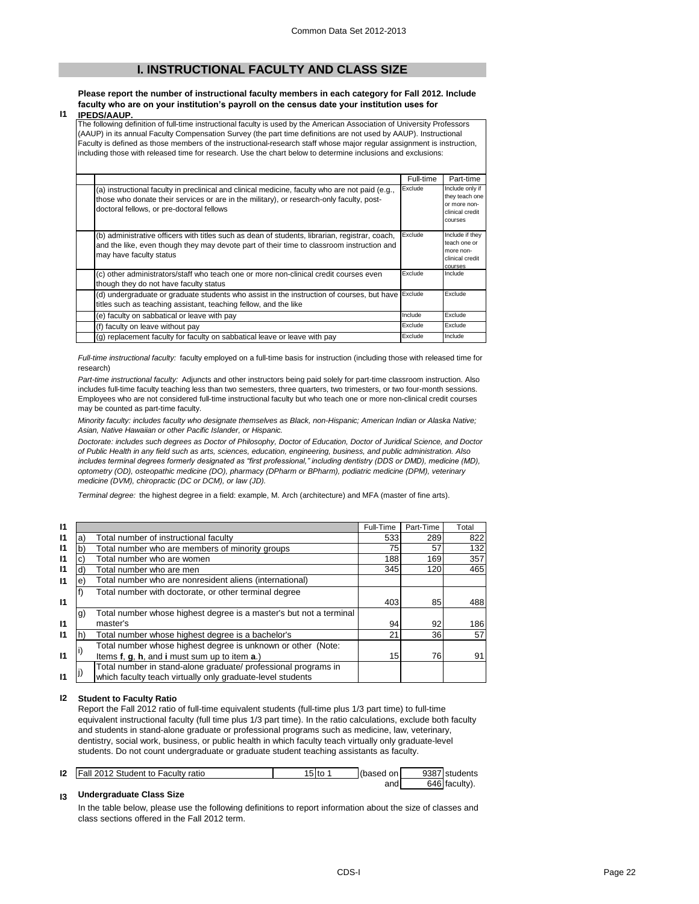# **I. INSTRUCTIONAL FACULTY AND CLASS SIZE**

### **Please report the number of instructional faculty members in each category for Fall 2012. Include faculty who are on your institution's payroll on the census date your institution uses for**

**I1 IPEDS/AAUP.**

The following definition of full-time instructional faculty is used by the American Association of University Professors (AAUP) in its annual Faculty Compensation Survey (the part time definitions are not used by AAUP). Instructional Faculty is defined as those members of the instructional-research staff whose major regular assignment is instruction, including those with released time for research. Use the chart below to determine inclusions and exclusions:

|                                                                                                                                                                                                                                          | Full-time | Part-time                                                                       |
|------------------------------------------------------------------------------------------------------------------------------------------------------------------------------------------------------------------------------------------|-----------|---------------------------------------------------------------------------------|
| (a) instructional faculty in preclinical and clinical medicine, faculty who are not paid (e.g.,<br>those who donate their services or are in the military), or research-only faculty, post-<br>doctoral fellows, or pre-doctoral fellows | Exclude   | Include only if<br>they teach one<br>or more non-<br>clinical credit<br>courses |
| (b) administrative officers with titles such as dean of students, librarian, registrar, coach,<br>and the like, even though they may devote part of their time to classroom instruction and<br>may have faculty status                   | Exclude   | Include if they<br>teach one or<br>more non-<br>clinical credit<br>courses      |
| (c) other administrators/staff who teach one or more non-clinical credit courses even<br>though they do not have faculty status                                                                                                          | Exclude   | Include                                                                         |
| (d) undergraduate or graduate students who assist in the instruction of courses, but have<br>titles such as teaching assistant, teaching fellow, and the like                                                                            | Exclude   | Exclude                                                                         |
| (e) faculty on sabbatical or leave with pay                                                                                                                                                                                              | Include   | Exclude                                                                         |
| (f) faculty on leave without pay                                                                                                                                                                                                         | Exclude   | Exclude                                                                         |
| (g) replacement faculty for faculty on sabbatical leave or leave with pay                                                                                                                                                                | Exclude   | Include                                                                         |

*Full-time instructional faculty:* faculty employed on a full-time basis for instruction (including those with released time for research)

*Part-time instructional faculty:* Adjuncts and other instructors being paid solely for part-time classroom instruction. Also includes full-time faculty teaching less than two semesters, three quarters, two trimesters, or two four-month sessions. Employees who are not considered full-time instructional faculty but who teach one or more non-clinical credit courses may be counted as part-time faculty.

*Minority faculty: includes faculty who designate themselves as Black, non-Hispanic; American Indian or Alaska Native; Asian, Native Hawaiian or other Pacific Islander, or Hispanic.* 

*Doctorate: includes such degrees as Doctor of Philosophy, Doctor of Education, Doctor of Juridical Science, and Doctor of Public Health in any field such as arts, sciences, education, engineering, business, and public administration. Also includes terminal degrees formerly designated as "first professional," including dentistry (DDS or DMD), medicine (MD), optometry (OD), osteopathic medicine (DO), pharmacy (DPharm or BPharm), podiatric medicine (DPM), veterinary medicine (DVM), chiropractic (DC or DCM), or law (JD).*

*Terminal degree:* the highest degree in a field: example, M. Arch (architecture) and MFA (master of fine arts).

| $\mathbf{I}$ |    |                                                                    | Full-Time | Part-Time | Total |
|--------------|----|--------------------------------------------------------------------|-----------|-----------|-------|
| $\mathsf{I}$ | a) | Total number of instructional faculty                              | 533       | 289       | 822   |
| $\mathbf{I}$ |    | Total number who are members of minority groups                    | 75        | 57        | 132   |
| $\mathsf{I}$ | C) | Total number who are women                                         | 188       | 169       | 357   |
| $\mathbf{I}$ | ď  | Total number who are men                                           | 345       | 120       | 465   |
| $\mathsf{I}$ | e) | Total number who are nonresident aliens (international)            |           |           |       |
|              |    | Total number with doctorate, or other terminal degree              |           |           |       |
| $\mathbf{I}$ |    |                                                                    | 403       | 85        | 488   |
|              | g) | Total number whose highest degree is a master's but not a terminal |           |           |       |
| 11           |    | master's                                                           | 94        | 92        | 186   |
| $\mathbf{I}$ | h) | Total number whose highest degree is a bachelor's                  | 21        | 36        | 57    |
|              |    | Total number whose highest degree is unknown or other (Note:       |           |           |       |
| $\mathbf{I}$ |    | Items f, q, h, and i must sum up to item a.)                       | 15        | 76I       | 91    |
|              |    | Total number in stand-alone graduate/ professional programs in     |           |           |       |
| 11           |    | which faculty teach virtually only graduate-level students         |           |           |       |

### **I2 Student to Faculty Ratio**

Report the Fall 2012 ratio of full-time equivalent students (full-time plus 1/3 part time) to full-time equivalent instructional faculty (full time plus 1/3 part time). In the ratio calculations, exclude both faculty and students in stand-alone graduate or professional programs such as medicine, law, veterinary, dentistry, social work, business, or public health in which faculty teach virtually only graduate-level students. Do not count undergraduate or graduate student teaching assistants as faculty.

| 12 | Fall 2012 Student to Faculty ratio | 5 to | (based on | 9387 students |
|----|------------------------------------|------|-----------|---------------|
|    |                                    |      | and       | 646 faculty). |

### **I3 Undergraduate Class Size**

In the table below, please use the following definitions to report information about the size of classes and class sections offered in the Fall 2012 term.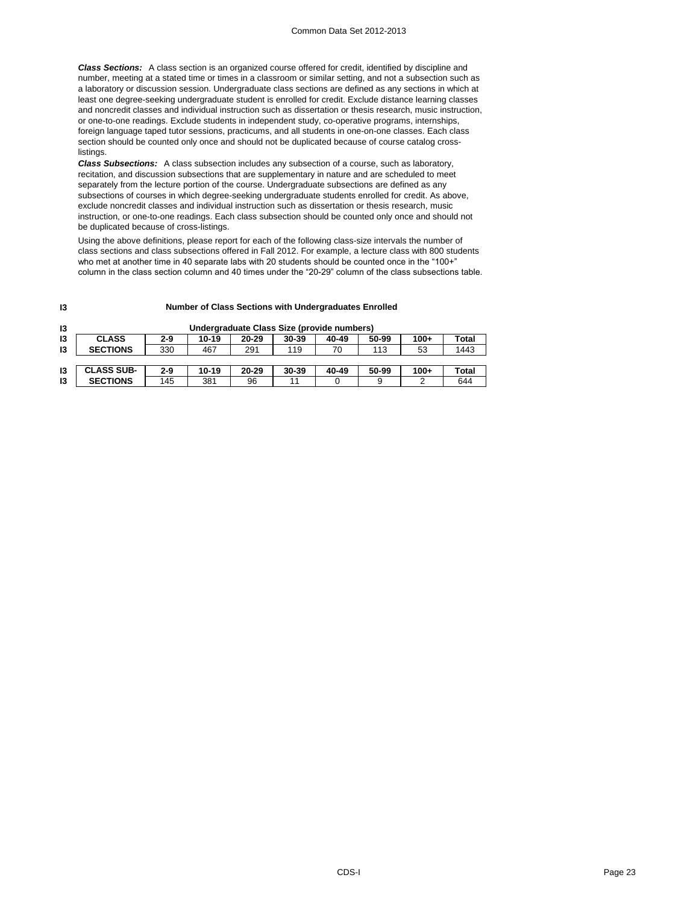*Class Sections:* A class section is an organized course offered for credit, identified by discipline and number, meeting at a stated time or times in a classroom or similar setting, and not a subsection such as a laboratory or discussion session. Undergraduate class sections are defined as any sections in which at least one degree-seeking undergraduate student is enrolled for credit. Exclude distance learning classes and noncredit classes and individual instruction such as dissertation or thesis research, music instruction, or one-to-one readings. Exclude students in independent study, co-operative programs, internships, foreign language taped tutor sessions, practicums, and all students in one-on-one classes. Each class section should be counted only once and should not be duplicated because of course catalog crosslistings.

*Class Subsections:* A class subsection includes any subsection of a course, such as laboratory, recitation, and discussion subsections that are supplementary in nature and are scheduled to meet separately from the lecture portion of the course. Undergraduate subsections are defined as any subsections of courses in which degree-seeking undergraduate students enrolled for credit. As above, exclude noncredit classes and individual instruction such as dissertation or thesis research, music instruction, or one-to-one readings. Each class subsection should be counted only once and should not be duplicated because of cross-listings.

Using the above definitions, please report for each of the following class-size intervals the number of class sections and class subsections offered in Fall 2012. For example, a lecture class with 800 students who met at another time in 40 separate labs with 20 students should be counted once in the "100+" column in the class section column and 40 times under the "20-29" column of the class subsections table.

### **Number of Class Sections with Undergraduates Enrolled**

| 13 |                   |         |       | Undergraduate Class Size (provide numbers) |       |       |       |        |       |
|----|-------------------|---------|-------|--------------------------------------------|-------|-------|-------|--------|-------|
| 13 | <b>CLASS</b>      | $2-9$   | 10-19 | 20-29                                      | 30-39 | 40-49 | 50-99 | $100+$ | Total |
| 13 | <b>SECTIONS</b>   | 330     | 467   | 291                                        | 119   | 70    | 113   | 53     | 1443  |
|    |                   |         |       |                                            |       |       |       |        |       |
| 13 | <b>CLASS SUB-</b> | $2 - 9$ | 10-19 | 20-29                                      | 30-39 | 40-49 | 50-99 | $100+$ | Total |
| 13 | <b>SECTIONS</b>   | 145     | 381   | 96                                         |       |       | 9     |        | 644   |

**I3**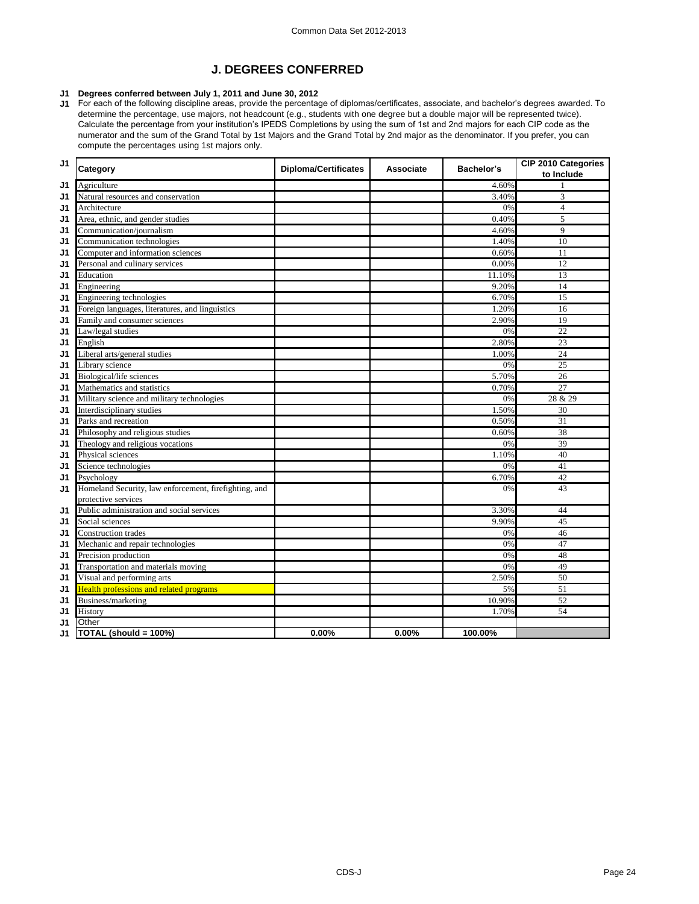# **J. DEGREES CONFERRED**

### **J1 Degrees conferred between July 1, 2011 and June 30, 2012**

J1 For each of the following discipline areas, provide the percentage of diplomas/certificates, associate, and bachelor's degrees awarded. To determine the percentage, use majors, not headcount (e.g., students with one degree but a double major will be represented twice). Calculate the percentage from your institution's IPEDS Completions by using the sum of 1st and 2nd majors for each CIP code as the numerator and the sum of the Grand Total by 1st Majors and the Grand Total by 2nd major as the denominator. If you prefer, you can compute the percentages using 1st majors only.

| J1<br>Agriculture<br>4.60%<br>Natural resources and conservation<br>3.40%<br>3<br>J1<br>$\overline{4}$<br>J1<br>0%<br>Architecture<br>Area, ethnic, and gender studies<br>0.40%<br>5<br>J1<br>Communication/journalism<br>9<br>4.60%<br>J1<br>1.40%<br>10<br>Communication technologies<br>J1<br>Computer and information sciences<br>0.60%<br>11<br>J1<br>Personal and culinary services<br>0.00%<br>12<br>J1<br>13<br>Education<br>11.10%<br>J1<br>9.20%<br>14<br>Engineering<br>J1<br>Engineering technologies<br>6.70%<br>15<br>J1<br>Foreign languages, literatures, and linguistics<br>1.20%<br>16<br>J1<br>Family and consumer sciences<br>2.90%<br>19<br>J1<br>$\overline{22}$<br>Law/legal studies<br>0%<br>J1<br>2.80%<br>English<br>23<br>J1<br>Liberal arts/general studies<br>1.00%<br>24<br>J1<br>Library science<br>0%<br>25<br>J1<br>Biological/life sciences<br>5.70%<br>26<br>J1<br>27<br>Mathematics and statistics<br>0.70%<br>J1<br>Military science and military technologies<br>0%<br>28 & 29<br>J1<br>Interdisciplinary studies<br>J1<br>1.50%<br>30<br>Parks and recreation<br>0.50%<br>31<br>J1<br>Philosophy and religious studies<br>38<br>0.60%<br>J1<br>Theology and religious vocations<br>39<br>J1<br>0%<br>40<br>Physical sciences<br>1.10%<br>J1<br>41<br>0%<br>J1<br>Science technologies<br>6.70%<br>42<br>Psychology<br>J1 | J <sub>1</sub> | Category                                              | <b>Diploma/Certificates</b> | Associate | Bachelor's | CIP 2010 Categories<br>to Include |
|-----------------------------------------------------------------------------------------------------------------------------------------------------------------------------------------------------------------------------------------------------------------------------------------------------------------------------------------------------------------------------------------------------------------------------------------------------------------------------------------------------------------------------------------------------------------------------------------------------------------------------------------------------------------------------------------------------------------------------------------------------------------------------------------------------------------------------------------------------------------------------------------------------------------------------------------------------------------------------------------------------------------------------------------------------------------------------------------------------------------------------------------------------------------------------------------------------------------------------------------------------------------------------------------------------------------------------------------------------------------|----------------|-------------------------------------------------------|-----------------------------|-----------|------------|-----------------------------------|
|                                                                                                                                                                                                                                                                                                                                                                                                                                                                                                                                                                                                                                                                                                                                                                                                                                                                                                                                                                                                                                                                                                                                                                                                                                                                                                                                                                 |                |                                                       |                             |           |            |                                   |
|                                                                                                                                                                                                                                                                                                                                                                                                                                                                                                                                                                                                                                                                                                                                                                                                                                                                                                                                                                                                                                                                                                                                                                                                                                                                                                                                                                 |                |                                                       |                             |           |            |                                   |
|                                                                                                                                                                                                                                                                                                                                                                                                                                                                                                                                                                                                                                                                                                                                                                                                                                                                                                                                                                                                                                                                                                                                                                                                                                                                                                                                                                 |                |                                                       |                             |           |            |                                   |
|                                                                                                                                                                                                                                                                                                                                                                                                                                                                                                                                                                                                                                                                                                                                                                                                                                                                                                                                                                                                                                                                                                                                                                                                                                                                                                                                                                 |                |                                                       |                             |           |            |                                   |
|                                                                                                                                                                                                                                                                                                                                                                                                                                                                                                                                                                                                                                                                                                                                                                                                                                                                                                                                                                                                                                                                                                                                                                                                                                                                                                                                                                 |                |                                                       |                             |           |            |                                   |
|                                                                                                                                                                                                                                                                                                                                                                                                                                                                                                                                                                                                                                                                                                                                                                                                                                                                                                                                                                                                                                                                                                                                                                                                                                                                                                                                                                 |                |                                                       |                             |           |            |                                   |
|                                                                                                                                                                                                                                                                                                                                                                                                                                                                                                                                                                                                                                                                                                                                                                                                                                                                                                                                                                                                                                                                                                                                                                                                                                                                                                                                                                 |                |                                                       |                             |           |            |                                   |
|                                                                                                                                                                                                                                                                                                                                                                                                                                                                                                                                                                                                                                                                                                                                                                                                                                                                                                                                                                                                                                                                                                                                                                                                                                                                                                                                                                 |                |                                                       |                             |           |            |                                   |
|                                                                                                                                                                                                                                                                                                                                                                                                                                                                                                                                                                                                                                                                                                                                                                                                                                                                                                                                                                                                                                                                                                                                                                                                                                                                                                                                                                 |                |                                                       |                             |           |            |                                   |
|                                                                                                                                                                                                                                                                                                                                                                                                                                                                                                                                                                                                                                                                                                                                                                                                                                                                                                                                                                                                                                                                                                                                                                                                                                                                                                                                                                 |                |                                                       |                             |           |            |                                   |
|                                                                                                                                                                                                                                                                                                                                                                                                                                                                                                                                                                                                                                                                                                                                                                                                                                                                                                                                                                                                                                                                                                                                                                                                                                                                                                                                                                 |                |                                                       |                             |           |            |                                   |
|                                                                                                                                                                                                                                                                                                                                                                                                                                                                                                                                                                                                                                                                                                                                                                                                                                                                                                                                                                                                                                                                                                                                                                                                                                                                                                                                                                 |                |                                                       |                             |           |            |                                   |
|                                                                                                                                                                                                                                                                                                                                                                                                                                                                                                                                                                                                                                                                                                                                                                                                                                                                                                                                                                                                                                                                                                                                                                                                                                                                                                                                                                 |                |                                                       |                             |           |            |                                   |
|                                                                                                                                                                                                                                                                                                                                                                                                                                                                                                                                                                                                                                                                                                                                                                                                                                                                                                                                                                                                                                                                                                                                                                                                                                                                                                                                                                 |                |                                                       |                             |           |            |                                   |
|                                                                                                                                                                                                                                                                                                                                                                                                                                                                                                                                                                                                                                                                                                                                                                                                                                                                                                                                                                                                                                                                                                                                                                                                                                                                                                                                                                 |                |                                                       |                             |           |            |                                   |
|                                                                                                                                                                                                                                                                                                                                                                                                                                                                                                                                                                                                                                                                                                                                                                                                                                                                                                                                                                                                                                                                                                                                                                                                                                                                                                                                                                 |                |                                                       |                             |           |            |                                   |
|                                                                                                                                                                                                                                                                                                                                                                                                                                                                                                                                                                                                                                                                                                                                                                                                                                                                                                                                                                                                                                                                                                                                                                                                                                                                                                                                                                 |                |                                                       |                             |           |            |                                   |
|                                                                                                                                                                                                                                                                                                                                                                                                                                                                                                                                                                                                                                                                                                                                                                                                                                                                                                                                                                                                                                                                                                                                                                                                                                                                                                                                                                 |                |                                                       |                             |           |            |                                   |
|                                                                                                                                                                                                                                                                                                                                                                                                                                                                                                                                                                                                                                                                                                                                                                                                                                                                                                                                                                                                                                                                                                                                                                                                                                                                                                                                                                 |                |                                                       |                             |           |            |                                   |
|                                                                                                                                                                                                                                                                                                                                                                                                                                                                                                                                                                                                                                                                                                                                                                                                                                                                                                                                                                                                                                                                                                                                                                                                                                                                                                                                                                 |                |                                                       |                             |           |            |                                   |
|                                                                                                                                                                                                                                                                                                                                                                                                                                                                                                                                                                                                                                                                                                                                                                                                                                                                                                                                                                                                                                                                                                                                                                                                                                                                                                                                                                 |                |                                                       |                             |           |            |                                   |
|                                                                                                                                                                                                                                                                                                                                                                                                                                                                                                                                                                                                                                                                                                                                                                                                                                                                                                                                                                                                                                                                                                                                                                                                                                                                                                                                                                 |                |                                                       |                             |           |            |                                   |
|                                                                                                                                                                                                                                                                                                                                                                                                                                                                                                                                                                                                                                                                                                                                                                                                                                                                                                                                                                                                                                                                                                                                                                                                                                                                                                                                                                 |                |                                                       |                             |           |            |                                   |
|                                                                                                                                                                                                                                                                                                                                                                                                                                                                                                                                                                                                                                                                                                                                                                                                                                                                                                                                                                                                                                                                                                                                                                                                                                                                                                                                                                 |                |                                                       |                             |           |            |                                   |
|                                                                                                                                                                                                                                                                                                                                                                                                                                                                                                                                                                                                                                                                                                                                                                                                                                                                                                                                                                                                                                                                                                                                                                                                                                                                                                                                                                 |                |                                                       |                             |           |            |                                   |
|                                                                                                                                                                                                                                                                                                                                                                                                                                                                                                                                                                                                                                                                                                                                                                                                                                                                                                                                                                                                                                                                                                                                                                                                                                                                                                                                                                 |                |                                                       |                             |           |            |                                   |
|                                                                                                                                                                                                                                                                                                                                                                                                                                                                                                                                                                                                                                                                                                                                                                                                                                                                                                                                                                                                                                                                                                                                                                                                                                                                                                                                                                 |                |                                                       |                             |           |            |                                   |
|                                                                                                                                                                                                                                                                                                                                                                                                                                                                                                                                                                                                                                                                                                                                                                                                                                                                                                                                                                                                                                                                                                                                                                                                                                                                                                                                                                 | J1             | Homeland Security, law enforcement, firefighting, and |                             |           | 0%         | 43                                |
| protective services                                                                                                                                                                                                                                                                                                                                                                                                                                                                                                                                                                                                                                                                                                                                                                                                                                                                                                                                                                                                                                                                                                                                                                                                                                                                                                                                             |                |                                                       |                             |           |            |                                   |
| Public administration and social services<br>3.30%<br>44<br>J1<br>Social sciences<br>9.90%<br>45                                                                                                                                                                                                                                                                                                                                                                                                                                                                                                                                                                                                                                                                                                                                                                                                                                                                                                                                                                                                                                                                                                                                                                                                                                                                |                |                                                       |                             |           |            |                                   |
| J1<br><b>Construction trades</b><br>0%<br>46                                                                                                                                                                                                                                                                                                                                                                                                                                                                                                                                                                                                                                                                                                                                                                                                                                                                                                                                                                                                                                                                                                                                                                                                                                                                                                                    |                |                                                       |                             |           |            |                                   |
| J1<br>Mechanic and repair technologies<br>0%<br>47                                                                                                                                                                                                                                                                                                                                                                                                                                                                                                                                                                                                                                                                                                                                                                                                                                                                                                                                                                                                                                                                                                                                                                                                                                                                                                              |                |                                                       |                             |           |            |                                   |
| J1<br>Precision production<br>48<br>J1<br>0%                                                                                                                                                                                                                                                                                                                                                                                                                                                                                                                                                                                                                                                                                                                                                                                                                                                                                                                                                                                                                                                                                                                                                                                                                                                                                                                    |                |                                                       |                             |           |            |                                   |
| Transportation and materials moving<br>0%<br>49                                                                                                                                                                                                                                                                                                                                                                                                                                                                                                                                                                                                                                                                                                                                                                                                                                                                                                                                                                                                                                                                                                                                                                                                                                                                                                                 |                |                                                       |                             |           |            |                                   |
| J1<br>Visual and performing arts<br>50<br>J1<br>2.50%                                                                                                                                                                                                                                                                                                                                                                                                                                                                                                                                                                                                                                                                                                                                                                                                                                                                                                                                                                                                                                                                                                                                                                                                                                                                                                           |                |                                                       |                             |           |            |                                   |
| <b>Health professions and related programs</b><br>5%<br>51<br>J1                                                                                                                                                                                                                                                                                                                                                                                                                                                                                                                                                                                                                                                                                                                                                                                                                                                                                                                                                                                                                                                                                                                                                                                                                                                                                                |                |                                                       |                             |           |            |                                   |
| 10.90%<br>Business/marketing<br>52<br>J1                                                                                                                                                                                                                                                                                                                                                                                                                                                                                                                                                                                                                                                                                                                                                                                                                                                                                                                                                                                                                                                                                                                                                                                                                                                                                                                        |                |                                                       |                             |           |            |                                   |
| J1<br>History<br>1.70%<br>54                                                                                                                                                                                                                                                                                                                                                                                                                                                                                                                                                                                                                                                                                                                                                                                                                                                                                                                                                                                                                                                                                                                                                                                                                                                                                                                                    |                |                                                       |                             |           |            |                                   |
| Other<br>J1                                                                                                                                                                                                                                                                                                                                                                                                                                                                                                                                                                                                                                                                                                                                                                                                                                                                                                                                                                                                                                                                                                                                                                                                                                                                                                                                                     |                |                                                       |                             |           |            |                                   |
| TOTAL (should = 100%)<br>0.00%<br>0.00%<br>100.00%<br>J1                                                                                                                                                                                                                                                                                                                                                                                                                                                                                                                                                                                                                                                                                                                                                                                                                                                                                                                                                                                                                                                                                                                                                                                                                                                                                                        |                |                                                       |                             |           |            |                                   |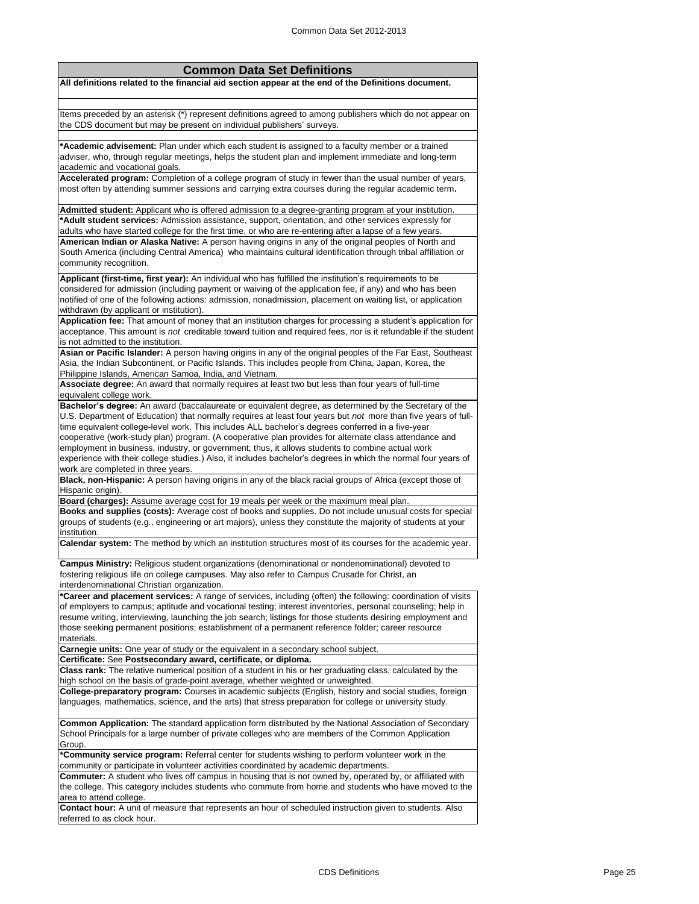| <b>Common Data Set Definitions</b>                                                                                                                                                                                                                                                                                                                                                                                                                            |
|---------------------------------------------------------------------------------------------------------------------------------------------------------------------------------------------------------------------------------------------------------------------------------------------------------------------------------------------------------------------------------------------------------------------------------------------------------------|
| All definitions related to the financial aid section appear at the end of the Definitions document.                                                                                                                                                                                                                                                                                                                                                           |
|                                                                                                                                                                                                                                                                                                                                                                                                                                                               |
| Items preceded by an asterisk (*) represent definitions agreed to among publishers which do not appear on<br>the CDS document but may be present on individual publishers' surveys.                                                                                                                                                                                                                                                                           |
| *Academic advisement: Plan under which each student is assigned to a faculty member or a trained<br>adviser, who, through regular meetings, helps the student plan and implement immediate and long-term<br>academic and vocational goals.                                                                                                                                                                                                                    |
| Accelerated program: Completion of a college program of study in fewer than the usual number of years,<br>most often by attending summer sessions and carrying extra courses during the regular academic term.                                                                                                                                                                                                                                                |
| Admitted student: Applicant who is offered admission to a degree-granting program at your institution.<br>*Adult student services: Admission assistance, support, orientation, and other services expressly for<br>adults who have started college for the first time, or who are re-entering after a lapse of a few years.                                                                                                                                   |
| American Indian or Alaska Native: A person having origins in any of the original peoples of North and<br>South America (including Central America) who maintains cultural identification through tribal affiliation or<br>community recognition.                                                                                                                                                                                                              |
| Applicant (first-time, first year): An individual who has fulfilled the institution's requirements to be<br>considered for admission (including payment or waiving of the application fee, if any) and who has been<br>notified of one of the following actions: admission, nonadmission, placement on waiting list, or application<br>withdrawn (by applicant or institution).                                                                               |
| Application fee: That amount of money that an institution charges for processing a student's application for<br>acceptance. This amount is not creditable toward tuition and required fees, nor is it refundable if the student<br>is not admitted to the institution.                                                                                                                                                                                        |
| Asian or Pacific Islander: A person having origins in any of the original peoples of the Far East, Southeast<br>Asia, the Indian Subcontinent, or Pacific Islands. This includes people from China, Japan, Korea, the<br>Philippine Islands, American Samoa, India, and Vietnam.                                                                                                                                                                              |
| Associate degree: An award that normally requires at least two but less than four years of full-time<br>equivalent college work.                                                                                                                                                                                                                                                                                                                              |
| Bachelor's degree: An award (baccalaureate or equivalent degree, as determined by the Secretary of the<br>U.S. Department of Education) that normally requires at least four years but not more than five years of full-<br>time equivalent college-level work. This includes ALL bachelor's degrees conferred in a five-year<br>cooperative (work-study plan) program. (A cooperative plan provides for alternate class attendance and                       |
| employment in business, industry, or government; thus, it allows students to combine actual work<br>experience with their college studies.) Also, it includes bachelor's degrees in which the normal four years of<br>work are completed in three years.                                                                                                                                                                                                      |
| Black, non-Hispanic: A person having origins in any of the black racial groups of Africa (except those of<br>Hispanic origin).                                                                                                                                                                                                                                                                                                                                |
| Board (charges): Assume average cost for 19 meals per week or the maximum meal plan.<br>Books and supplies (costs): Average cost of books and supplies. Do not include unusual costs for special<br>groups of students (e.g., engineering or art majors), unless they constitute the majority of students at your<br>institution.                                                                                                                             |
| Calendar system: The method by which an institution structures most of its courses for the academic year.                                                                                                                                                                                                                                                                                                                                                     |
| Campus Ministry: Religious student organizations (denominational or nondenominational) devoted to<br>fostering religious life on college campuses. May also refer to Campus Crusade for Christ, an<br>interdenominational Christian organization.                                                                                                                                                                                                             |
| *Career and placement services: A range of services, including (often) the following: coordination of visits<br>of employers to campus; aptitude and vocational testing; interest inventories, personal counseling; help in<br>resume writing, interviewing, launching the job search; listings for those students desiring employment and<br>those seeking permanent positions; establishment of a permanent reference folder; career resource<br>materials. |
| Carnegie units: One year of study or the equivalent in a secondary school subject.<br>Certificate: See Postsecondary award, certificate, or diploma.                                                                                                                                                                                                                                                                                                          |
| Class rank: The relative numerical position of a student in his or her graduating class, calculated by the<br>high school on the basis of grade-point average, whether weighted or unweighted.                                                                                                                                                                                                                                                                |
| College-preparatory program: Courses in academic subjects (English, history and social studies, foreign<br>languages, mathematics, science, and the arts) that stress preparation for college or university study.                                                                                                                                                                                                                                            |
| Common Application: The standard application form distributed by the National Association of Secondary<br>School Principals for a large number of private colleges who are members of the Common Application<br>Group.                                                                                                                                                                                                                                        |
| *Community service program: Referral center for students wishing to perform volunteer work in the<br>community or participate in volunteer activities coordinated by academic departments.                                                                                                                                                                                                                                                                    |
| <b>Commuter:</b> A student who lives off campus in housing that is not owned by, operated by, or affiliated with<br>the college. This category includes students who commute from home and students who have moved to the<br>area to attend college.                                                                                                                                                                                                          |
| Contact hour: A unit of measure that represents an hour of scheduled instruction given to students. Also<br>referred to as clock hour.                                                                                                                                                                                                                                                                                                                        |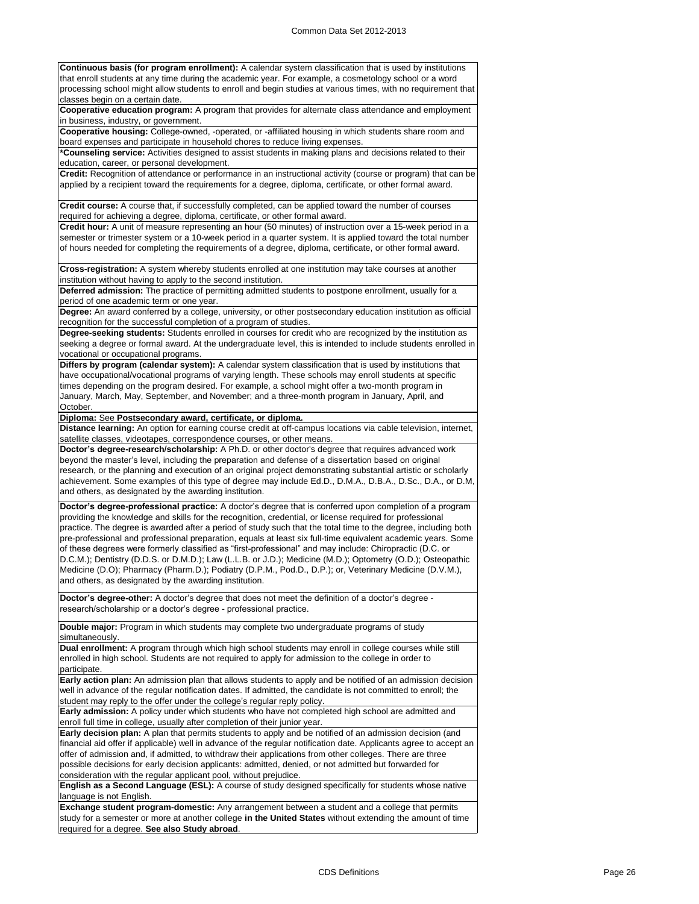**Continuous basis (for program enrollment):** A calendar system classification that is used by institutions that enroll students at any time during the academic year. For example, a cosmetology school or a word processing school might allow students to enroll and begin studies at various times, with no requirement that classes begin on a certain date.

**Cooperative education program:** A program that provides for alternate class attendance and employment in business, industry, or government.

**Cooperative housing:** College-owned, -operated, or -affiliated housing in which students share room and board expenses and participate in household chores to reduce living expenses.

**\*Counseling service:** Activities designed to assist students in making plans and decisions related to their education, career, or personal development.

**Credit:** Recognition of attendance or performance in an instructional activity (course or program) that can be applied by a recipient toward the requirements for a degree, diploma, certificate, or other formal award.

**Credit course:** A course that, if successfully completed, can be applied toward the number of courses required for achieving a degree, diploma, certificate, or other formal award.

**Credit hour:** A unit of measure representing an hour (50 minutes) of instruction over a 15-week period in a semester or trimester system or a 10-week period in a quarter system. It is applied toward the total number of hours needed for completing the requirements of a degree, diploma, certificate, or other formal award.

**Cross-registration:** A system whereby students enrolled at one institution may take courses at another institution without having to apply to the second institution.

**Deferred admission:** The practice of permitting admitted students to postpone enrollment, usually for a period of one academic term or one year.

**Degree:** An award conferred by a college, university, or other postsecondary education institution as official recognition for the successful completion of a program of studies.

**Degree-seeking students:** Students enrolled in courses for credit who are recognized by the institution as seeking a degree or formal award. At the undergraduate level, this is intended to include students enrolled in vocational or occupational programs.

**Differs by program (calendar system):** A calendar system classification that is used by institutions that have occupational/vocational programs of varying length. These schools may enroll students at specific times depending on the program desired. For example, a school might offer a two-month program in January, March, May, September, and November; and a three-month program in January, April, and October.

**Diploma:** See **Postsecondary award, certificate, or diploma.**

**Distance learning:** An option for earning course credit at off-campus locations via cable television, internet, satellite classes, videotapes, correspondence courses, or other means.

**Doctor's degree-research/scholarship:** A Ph.D. or other doctor's degree that requires advanced work beyond the master's level, including the preparation and defense of a dissertation based on original research, or the planning and execution of an original project demonstrating substantial artistic or scholarly achievement. Some examples of this type of degree may include Ed.D., D.M.A., D.B.A., D.Sc., D.A., or D.M, and others, as designated by the awarding institution.

**Doctor's degree-professional practice:** A doctor's degree that is conferred upon completion of a program providing the knowledge and skills for the recognition, credential, or license required for professional practice. The degree is awarded after a period of study such that the total time to the degree, including both pre-professional and professional preparation, equals at least six full-time equivalent academic years. Some of these degrees were formerly classified as "first-professional" and may include: Chiropractic (D.C. or D.C.M.); Dentistry (D.D.S. or D.M.D.); Law (L.L.B. or J.D.); Medicine (M.D.); Optometry (O.D.); Osteopathic Medicine (D.O); Pharmacy (Pharm.D.); Podiatry (D.P.M., Pod.D., D.P.); or, Veterinary Medicine (D.V.M.), and others, as designated by the awarding institution.

**Doctor's degree-other:** A doctor's degree that does not meet the definition of a doctor's degree research/scholarship or a doctor's degree - professional practice.

**Double major:** Program in which students may complete two undergraduate programs of study simultaneously.

**Dual enrollment:** A program through which high school students may enroll in college courses while still enrolled in high school. Students are not required to apply for admission to the college in order to participate.

**Early action plan:** An admission plan that allows students to apply and be notified of an admission decision well in advance of the regular notification dates. If admitted, the candidate is not committed to enroll; the student may reply to the offer under the college's regular reply policy.

**Early admission:** A policy under which students who have not completed high school are admitted and enroll full time in college, usually after completion of their junior year.

**Early decision plan:** A plan that permits students to apply and be notified of an admission decision (and financial aid offer if applicable) well in advance of the regular notification date. Applicants agree to accept an offer of admission and, if admitted, to withdraw their applications from other colleges. There are three possible decisions for early decision applicants: admitted, denied, or not admitted but forwarded for consideration with the regular applicant pool, without prejudice.

**English as a Second Language (ESL):** A course of study designed specifically for students whose native language is not English.

**Exchange student program-domestic:** Any arrangement between a student and a college that permits study for a semester or more at another college **in the United States** without extending the amount of time required for a degree. **See also Study abroad**.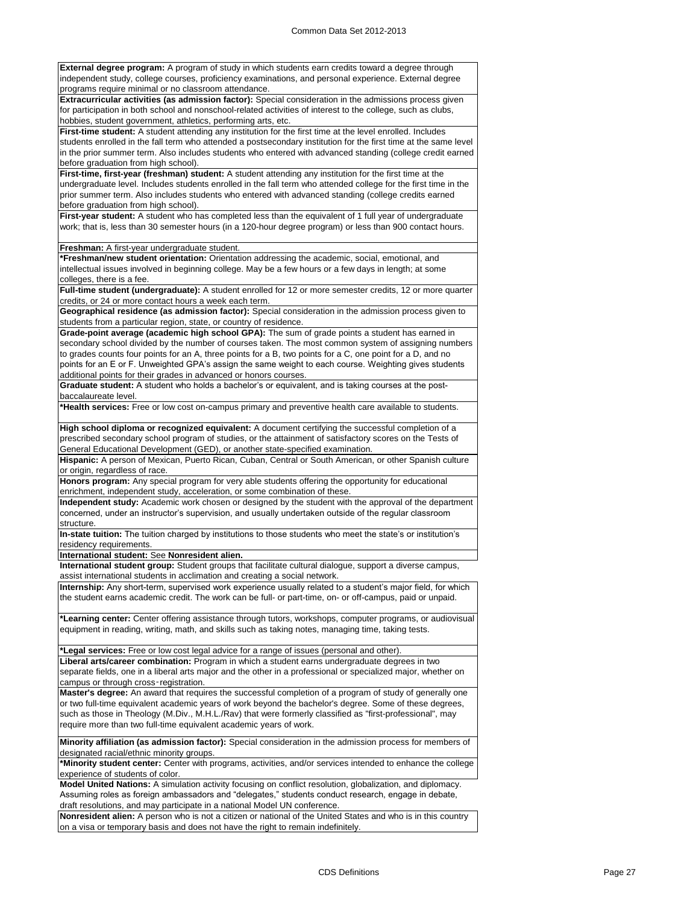| independent study, college courses, proficiency examinations, and personal experience. External degree<br>programs require minimal or no classroom attendance.                                                            |
|---------------------------------------------------------------------------------------------------------------------------------------------------------------------------------------------------------------------------|
| Extracurricular activities (as admission factor): Special consideration in the admissions process given                                                                                                                   |
| for participation in both school and nonschool-related activities of interest to the college, such as clubs,                                                                                                              |
| hobbies, student government, athletics, performing arts, etc.                                                                                                                                                             |
| First-time student: A student attending any institution for the first time at the level enrolled. Includes                                                                                                                |
| students enrolled in the fall term who attended a postsecondary institution for the first time at the same level                                                                                                          |
| in the prior summer term. Also includes students who entered with advanced standing (college credit earned                                                                                                                |
| before graduation from high school).                                                                                                                                                                                      |
| First-time, first-year (freshman) student: A student attending any institution for the first time at the                                                                                                                  |
| undergraduate level. Includes students enrolled in the fall term who attended college for the first time in the                                                                                                           |
| prior summer term. Also includes students who entered with advanced standing (college credits earned                                                                                                                      |
| before graduation from high school).                                                                                                                                                                                      |
| First-year student: A student who has completed less than the equivalent of 1 full year of undergraduate                                                                                                                  |
| work; that is, less than 30 semester hours (in a 120-hour degree program) or less than 900 contact hours.                                                                                                                 |
| Freshman: A first-year undergraduate student.                                                                                                                                                                             |
| *Freshman/new student orientation: Orientation addressing the academic, social, emotional, and                                                                                                                            |
| intellectual issues involved in beginning college. May be a few hours or a few days in length; at some                                                                                                                    |
| colleges, there is a fee.                                                                                                                                                                                                 |
| Full-time student (undergraduate): A student enrolled for 12 or more semester credits, 12 or more quarter                                                                                                                 |
| credits, or 24 or more contact hours a week each term.                                                                                                                                                                    |
| Geographical residence (as admission factor): Special consideration in the admission process given to                                                                                                                     |
| students from a particular region, state, or country of residence.                                                                                                                                                        |
| Grade-point average (academic high school GPA): The sum of grade points a student has earned in                                                                                                                           |
| secondary school divided by the number of courses taken. The most common system of assigning numbers                                                                                                                      |
| to grades counts four points for an A, three points for a B, two points for a C, one point for a D, and no<br>points for an E or F. Unweighted GPA's assign the same weight to each course. Weighting gives students      |
| additional points for their grades in advanced or honors courses.                                                                                                                                                         |
| Graduate student: A student who holds a bachelor's or equivalent, and is taking courses at the post-                                                                                                                      |
| baccalaureate level.                                                                                                                                                                                                      |
| *Health services: Free or low cost on-campus primary and preventive health care available to students.                                                                                                                    |
|                                                                                                                                                                                                                           |
|                                                                                                                                                                                                                           |
| High school diploma or recognized equivalent: A document certifying the successful completion of a                                                                                                                        |
| prescribed secondary school program of studies, or the attainment of satisfactory scores on the Tests of                                                                                                                  |
| General Educational Development (GED), or another state-specified examination.                                                                                                                                            |
| Hispanic: A person of Mexican, Puerto Rican, Cuban, Central or South American, or other Spanish culture                                                                                                                   |
| or origin, regardless of race.                                                                                                                                                                                            |
| Honors program: Any special program for very able students offering the opportunity for educational                                                                                                                       |
| enrichment, independent study, acceleration, or some combination of these.                                                                                                                                                |
| Independent study: Academic work chosen or designed by the student with the approval of the department                                                                                                                    |
| concerned, under an instructor's supervision, and usually undertaken outside of the regular classroom                                                                                                                     |
| structure.                                                                                                                                                                                                                |
| In-state tuition: The tuition charged by institutions to those students who meet the state's or institution's                                                                                                             |
| residency requirements.                                                                                                                                                                                                   |
| International student: See Nonresident alien.                                                                                                                                                                             |
| International student group: Student groups that facilitate cultural dialogue, support a diverse campus,                                                                                                                  |
| assist international students in acclimation and creating a social network.                                                                                                                                               |
| Internship: Any short-term, supervised work experience usually related to a student's major field, for which<br>the student earns academic credit. The work can be full- or part-time, on- or off-campus, paid or unpaid. |
|                                                                                                                                                                                                                           |
|                                                                                                                                                                                                                           |
| *Learning center: Center offering assistance through tutors, workshops, computer programs, or audiovisual<br>equipment in reading, writing, math, and skills such as taking notes, managing time, taking tests.           |
|                                                                                                                                                                                                                           |
| *Legal services: Free or low cost legal advice for a range of issues (personal and other).                                                                                                                                |
| Liberal arts/career combination: Program in which a student earns undergraduate degrees in two                                                                                                                            |
| separate fields, one in a liberal arts major and the other in a professional or specialized major, whether on                                                                                                             |
| campus or through cross-registration.                                                                                                                                                                                     |
| Master's degree: An award that requires the successful completion of a program of study of generally one                                                                                                                  |
| or two full-time equivalent academic years of work beyond the bachelor's degree. Some of these degrees,                                                                                                                   |
| such as those in Theology (M.Div., M.H.L./Rav) that were formerly classified as "first-professional", may                                                                                                                 |
| require more than two full-time equivalent academic years of work.                                                                                                                                                        |
|                                                                                                                                                                                                                           |
| Minority affiliation (as admission factor): Special consideration in the admission process for members of<br>designated racial/ethnic minority groups.                                                                    |

**External degree program:** A program of study in which students earn credits toward a degree through

**\*Minority student center:** Center with programs, activities, and/or services intended to enhance the college experience of students of color.

**Model United Nations:** A simulation activity focusing on conflict resolution, globalization, and diplomacy. Assuming roles as foreign ambassadors and "delegates," students conduct research, engage in debate, draft resolutions, and may participate in a national Model UN conference.

**Nonresident alien:** A person who is not a citizen or national of the United States and who is in this country on a visa or temporary basis and does not have the right to remain indefinitely.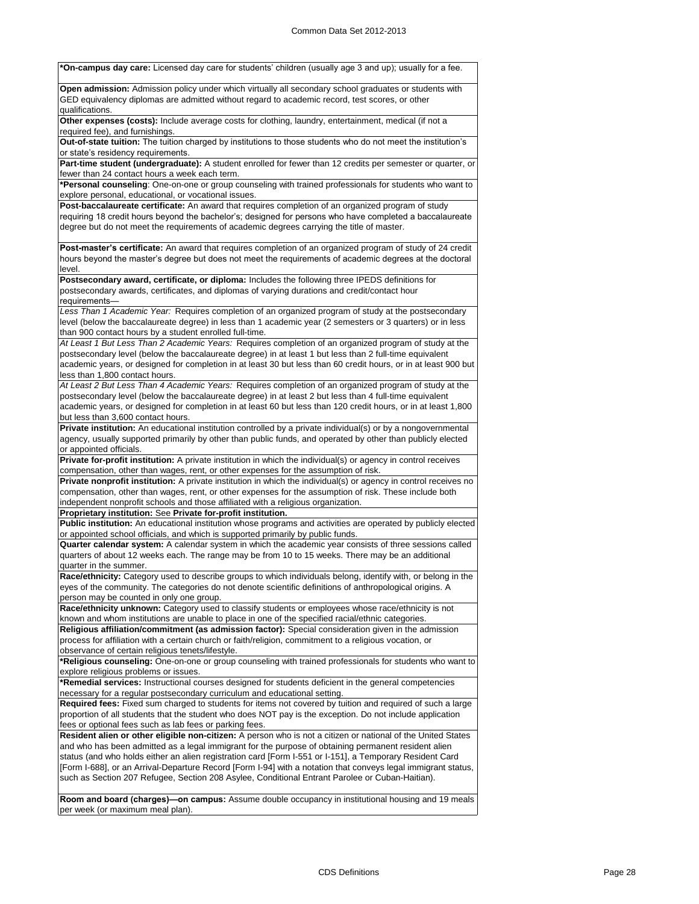**\*On-campus day care:** Licensed day care for students' children (usually age 3 and up); usually for a fee. **Open admission:** Admission policy under which virtually all secondary school graduates or students with GED equivalency diplomas are admitted without regard to academic record, test scores, or other qualifications. **Other expenses (costs):** Include average costs for clothing, laundry, entertainment, medical (if not a required fee), and furnishings. **Out-of-state tuition:** The tuition charged by institutions to those students who do not meet the institution's or state's residency requirements. **Part-time student (undergraduate):** A student enrolled for fewer than 12 credits per semester or quarter, or fewer than 24 contact hours a week each term. **\*Personal counseling**: One-on-one or group counseling with trained professionals for students who want to explore personal, educational, or vocational issues. **Post-baccalaureate certificate:** An award that requires completion of an organized program of study requiring 18 credit hours beyond the bachelor's; designed for persons who have completed a baccalaureate degree but do not meet the requirements of academic degrees carrying the title of master. **Post-master's certificate:** An award that requires completion of an organized program of study of 24 credit hours beyond the master's degree but does not meet the requirements of academic degrees at the doctoral level. **Postsecondary award, certificate, or diploma:** Includes the following three IPEDS definitions for postsecondary awards, certificates, and diplomas of varying durations and credit/contact hour requirements *Less Than 1 Academic Year:* Requires completion of an organized program of study at the postsecondary level (below the baccalaureate degree) in less than 1 academic year (2 semesters or 3 quarters) or in less than 900 contact hours by a student enrolled full-time. *At Least 1 But Less Than 2 Academic Years:* Requires completion of an organized program of study at the postsecondary level (below the baccalaureate degree) in at least 1 but less than 2 full-time equivalent academic years, or designed for completion in at least 30 but less than 60 credit hours, or in at least 900 but less than 1,800 contact hours. *At Least 2 But Less Than 4 Academic Years:* Requires completion of an organized program of study at the postsecondary level (below the baccalaureate degree) in at least 2 but less than 4 full-time equivalent academic years, or designed for completion in at least 60 but less than 120 credit hours, or in at least 1,800 but less than 3,600 contact hours. **Private institution:** An educational institution controlled by a private individual(s) or by a nongovernmental agency, usually supported primarily by other than public funds, and operated by other than publicly elected or appointed officials. **Private for-profit institution:** A private institution in which the individual(s) or agency in control receives compensation, other than wages, rent, or other expenses for the assumption of risk. **Private nonprofit institution:** A private institution in which the individual(s) or agency in control receives no compensation, other than wages, rent, or other expenses for the assumption of risk. These include both independent nonprofit schools and those affiliated with a religious organization. **Proprietary institution:** See **Private for-profit institution. Public institution:** An educational institution whose programs and activities are operated by publicly elected or appointed school officials, and which is supported primarily by public funds. **Quarter calendar system:** A calendar system in which the academic year consists of three sessions called quarters of about 12 weeks each. The range may be from 10 to 15 weeks. There may be an additional quarter in the summer. **Race/ethnicity:** Category used to describe groups to which individuals belong, identify with, or belong in the eyes of the community. The categories do not denote scientific definitions of anthropological origins. A person may be counted in only one group. **Race/ethnicity unknown:** Category used to classify students or employees whose race/ethnicity is not known and whom institutions are unable to place in one of the specified racial/ethnic categories. **Religious affiliation/commitment (as admission factor):** Special consideration given in the admission process for affiliation with a certain church or faith/religion, commitment to a religious vocation, or observance of certain religious tenets/lifestyle. **\*Religious counseling:** One-on-one or group counseling with trained professionals for students who want to explore religious problems or issues. **\*Remedial services:** Instructional courses designed for students deficient in the general competencies necessary for a regular postsecondary curriculum and educational setting. **Required fees:** Fixed sum charged to students for items not covered by tuition and required of such a large proportion of all students that the student who does NOT pay is the exception. Do not include application fees or optional fees such as lab fees or parking fees. **Resident alien or other eligible non-citizen:** A person who is not a citizen or national of the United States and who has been admitted as a legal immigrant for the purpose of obtaining permanent resident alien status (and who holds either an alien registration card [Form I-551 or I-151], a Temporary Resident Card [Form I-688], or an Arrival-Departure Record [Form I-94] with a notation that conveys legal immigrant status, such as Section 207 Refugee, Section 208 Asylee, Conditional Entrant Parolee or Cuban-Haitian). **Room and board (charges)—on campus:** Assume double occupancy in institutional housing and 19 meals

per week (or maximum meal plan).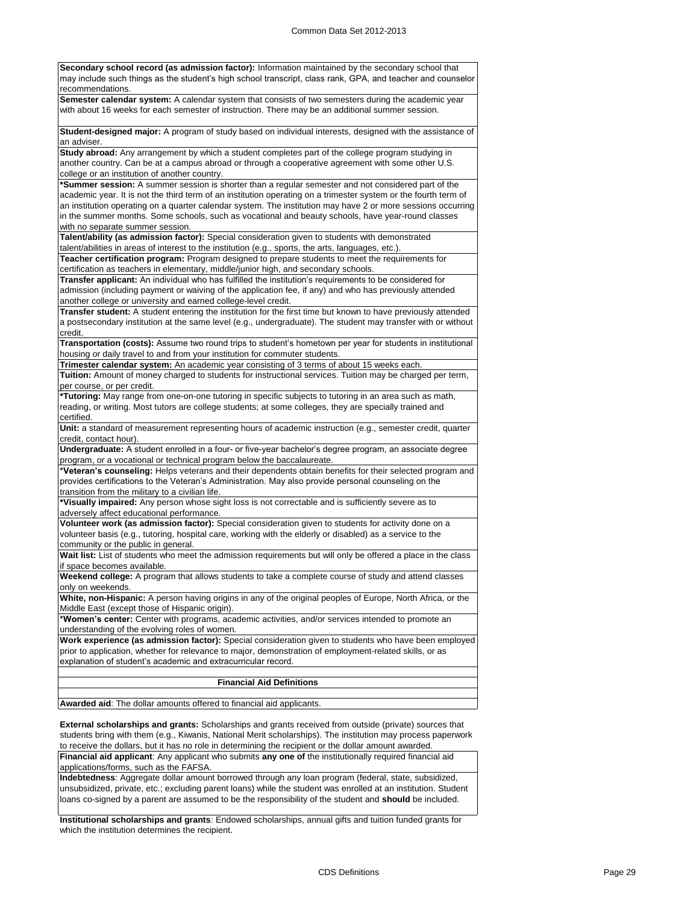| Secondary school record (as admission factor): Information maintained by the secondary school that<br>may include such things as the student's high school transcript, class rank, GPA, and teacher and counselor |
|-------------------------------------------------------------------------------------------------------------------------------------------------------------------------------------------------------------------|
| recommendations.                                                                                                                                                                                                  |
| Semester calendar system: A calendar system that consists of two semesters during the academic year<br>with about 16 weeks for each semester of instruction. There may be an additional summer session.           |
| Student-designed major: A program of study based on individual interests, designed with the assistance of<br>an adviser.                                                                                          |
| Study abroad: Any arrangement by which a student completes part of the college program studying in                                                                                                                |
| another country. Can be at a campus abroad or through a cooperative agreement with some other U.S.                                                                                                                |
| college or an institution of another country.                                                                                                                                                                     |
| *Summer session: A summer session is shorter than a regular semester and not considered part of the                                                                                                               |
| academic year. It is not the third term of an institution operating on a trimester system or the fourth term of                                                                                                   |
| an institution operating on a quarter calendar system. The institution may have 2 or more sessions occurring                                                                                                      |
| in the summer months. Some schools, such as vocational and beauty schools, have year-round classes                                                                                                                |
| with no separate summer session.                                                                                                                                                                                  |
| Talent/ability (as admission factor): Special consideration given to students with demonstrated                                                                                                                   |
| talent/abilities in areas of interest to the institution (e.g., sports, the arts, languages, etc.).                                                                                                               |
| Teacher certification program: Program designed to prepare students to meet the requirements for                                                                                                                  |
| certification as teachers in elementary, middle/junior high, and secondary schools.                                                                                                                               |
| <b>Transfer applicant:</b> An individual who has fulfilled the institution's requirements to be considered for                                                                                                    |
| admission (including payment or waiving of the application fee, if any) and who has previously attended                                                                                                           |
| another college or university and earned college-level credit.                                                                                                                                                    |
| Transfer student: A student entering the institution for the first time but known to have previously attended                                                                                                     |
| a postsecondary institution at the same level (e.g., undergraduate). The student may transfer with or without                                                                                                     |
| credit.                                                                                                                                                                                                           |
| Transportation (costs): Assume two round trips to student's hometown per year for students in institutional                                                                                                       |
| housing or daily travel to and from your institution for commuter students.                                                                                                                                       |
| Trimester calendar system: An academic year consisting of 3 terms of about 15 weeks each.                                                                                                                         |
| Tuition: Amount of money charged to students for instructional services. Tuition may be charged per term,<br>per course, or per credit.                                                                           |
| *Tutoring: May range from one-on-one tutoring in specific subjects to tutoring in an area such as math,                                                                                                           |
| reading, or writing. Most tutors are college students; at some colleges, they are specially trained and                                                                                                           |
| certified.                                                                                                                                                                                                        |
| Unit: a standard of measurement representing hours of academic instruction (e.g., semester credit, quarter<br>credit, contact hour).                                                                              |
| Undergraduate: A student enrolled in a four- or five-year bachelor's degree program, an associate degree                                                                                                          |
| program, or a vocational or technical program below the baccalaureate.                                                                                                                                            |
| *Veteran's counseling: Helps veterans and their dependents obtain benefits for their selected program and<br>provides certifications to the Veteran's Administration. May also provide personal counseling on the |
| transition from the military to a civilian life.                                                                                                                                                                  |
| *Visually impaired: Any person whose sight loss is not correctable and is sufficiently severe as to                                                                                                               |
| adversely affect educational performance.<br>Volunteer work (as admission factor): Special consideration given to students for activity done on a                                                                 |
| volunteer basis (e.g., tutoring, hospital care, working with the elderly or disabled) as a service to the                                                                                                         |
| community or the public in general.                                                                                                                                                                               |
| Wait list: List of students who meet the admission requirements but will only be offered a place in the class                                                                                                     |
| if space becomes available.                                                                                                                                                                                       |
| Weekend college: A program that allows students to take a complete course of study and attend classes                                                                                                             |
| only on weekends.                                                                                                                                                                                                 |
| White, non-Hispanic: A person having origins in any of the original peoples of Europe, North Africa, or the                                                                                                       |
| Middle East (except those of Hispanic origin).                                                                                                                                                                    |
| *Women's center: Center with programs, academic activities, and/or services intended to promote an<br>understanding of the evolving roles of women.                                                               |
| Work experience (as admission factor): Special consideration given to students who have been employed                                                                                                             |
| prior to application, whether for relevance to major, demonstration of employment-related skills, or as                                                                                                           |
| explanation of student's academic and extracurricular record.                                                                                                                                                     |
|                                                                                                                                                                                                                   |
| <b>Financial Aid Definitions</b>                                                                                                                                                                                  |
|                                                                                                                                                                                                                   |

**Awarded aid**: The dollar amounts offered to financial aid applicants.

**External scholarships and grants:** Scholarships and grants received from outside (private) sources that students bring with them (e.g., Kiwanis, National Merit scholarships). The institution may process paperwork to receive the dollars, but it has no role in determining the recipient or the dollar amount awarded.

**Financial aid applicant**: Any applicant who submits **any one of** the institutionally required financial aid applications/forms, such as the FAFSA.

**Indebtedness**: Aggregate dollar amount borrowed through any loan program (federal, state, subsidized, unsubsidized, private, etc.; excluding parent loans) while the student was enrolled at an institution. Student loans co-signed by a parent are assumed to be the responsibility of the student and **should** be included.

**Institutional scholarships and grants**: Endowed scholarships, annual gifts and tuition funded grants for which the institution determines the recipient.